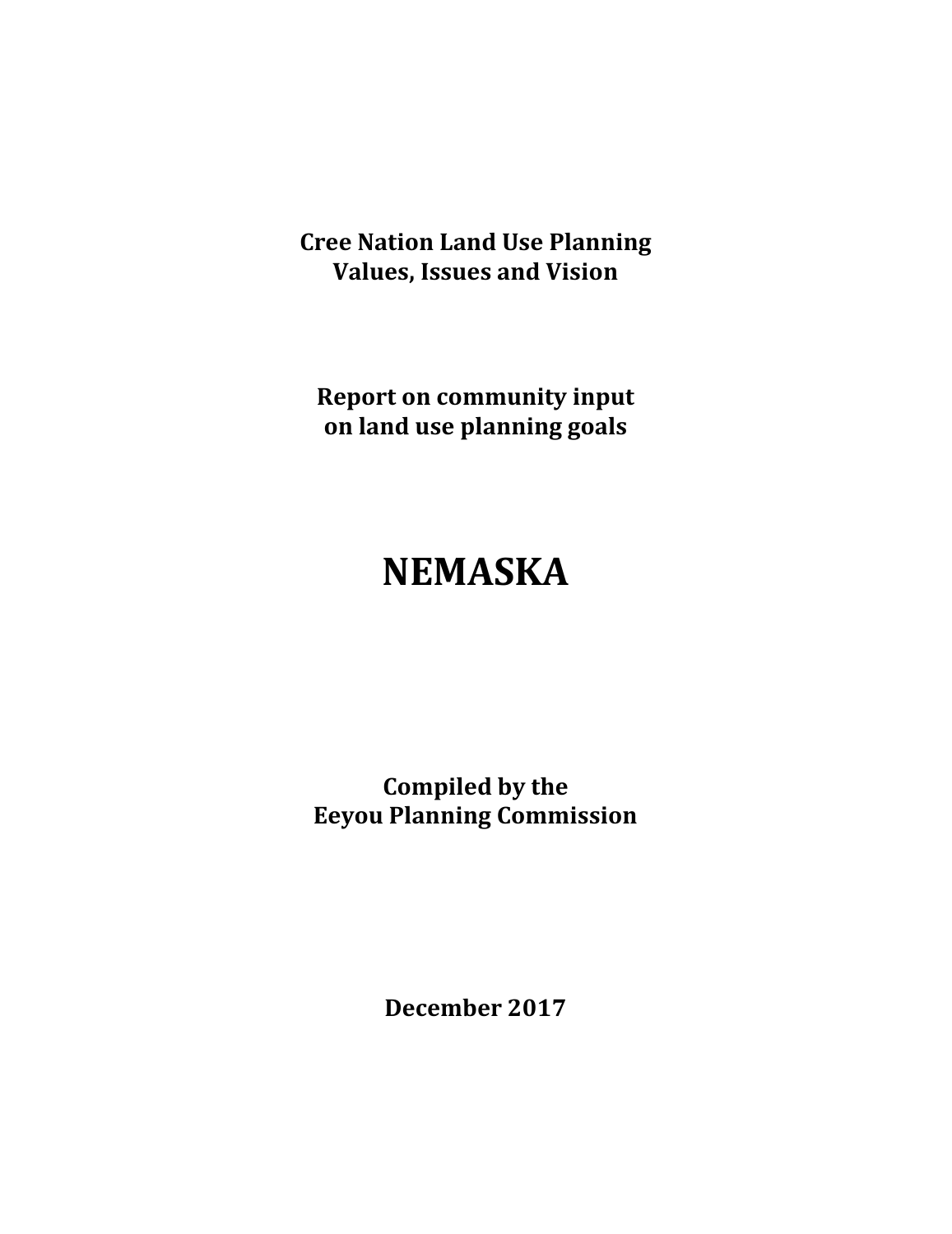**Cree Nation Land Use Planning Values, Issues and Vision**

**Report on community input on land use planning goals**

# **NEMASKA**

**Compiled by the Eeyou Planning Commission**

**December 2017**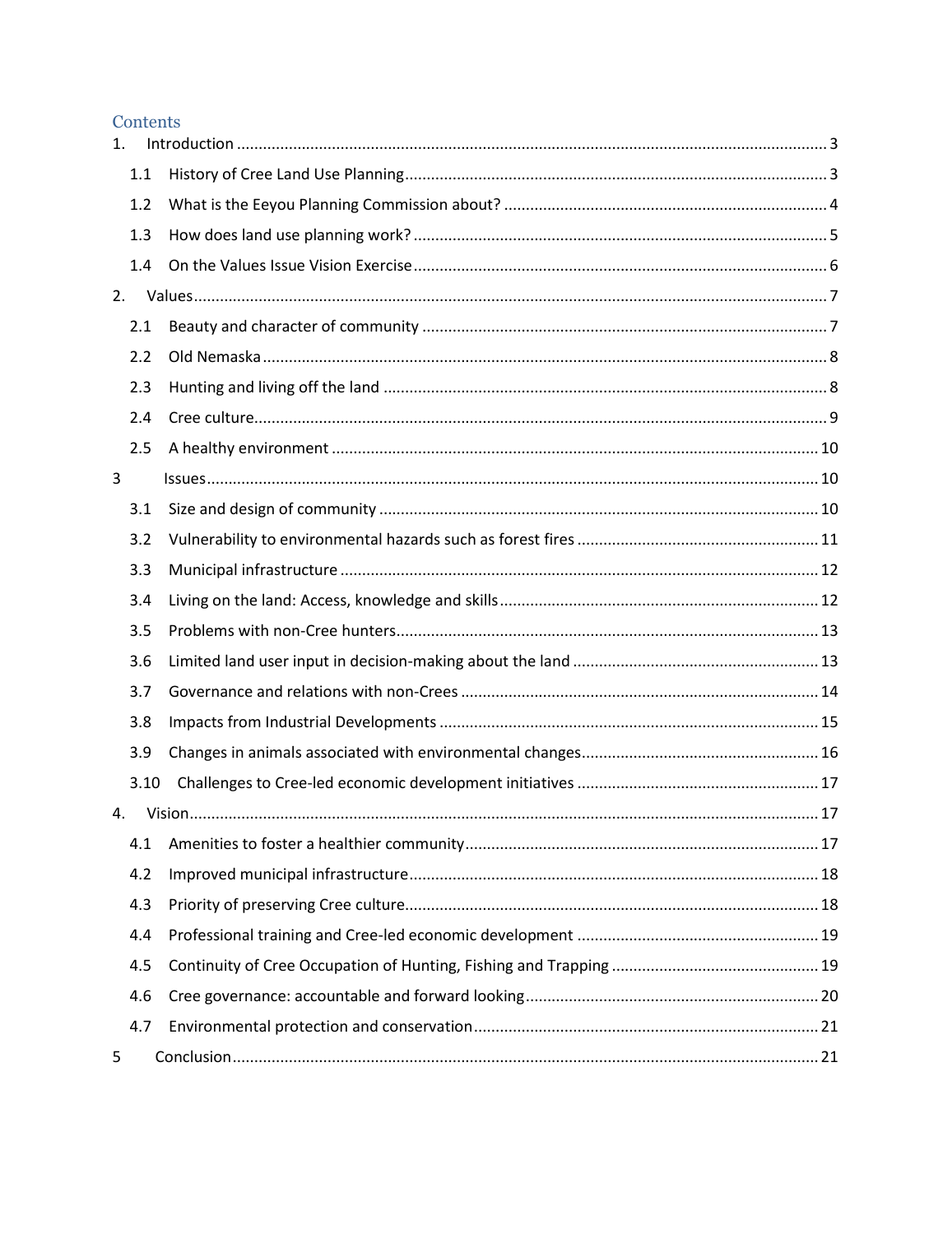#### Contents

| 1. |      |  |  |  |
|----|------|--|--|--|
|    | 1.1  |  |  |  |
|    | 1.2  |  |  |  |
|    | 1.3  |  |  |  |
|    | 1.4  |  |  |  |
| 2. |      |  |  |  |
|    | 2.1  |  |  |  |
|    | 2.2  |  |  |  |
|    | 2.3  |  |  |  |
|    | 2.4  |  |  |  |
|    | 2.5  |  |  |  |
| 3  |      |  |  |  |
|    | 3.1  |  |  |  |
|    | 3.2  |  |  |  |
|    | 3.3  |  |  |  |
|    | 3.4  |  |  |  |
|    | 3.5  |  |  |  |
|    | 3.6  |  |  |  |
|    | 3.7  |  |  |  |
|    | 3.8  |  |  |  |
|    | 3.9  |  |  |  |
|    | 3.10 |  |  |  |
| 4. |      |  |  |  |
|    | 4.1  |  |  |  |
|    | 4.2  |  |  |  |
|    | 4.3  |  |  |  |
|    | 4.4  |  |  |  |
|    | 4.5  |  |  |  |
|    | 4.6  |  |  |  |
|    | 4.7  |  |  |  |
| 5  |      |  |  |  |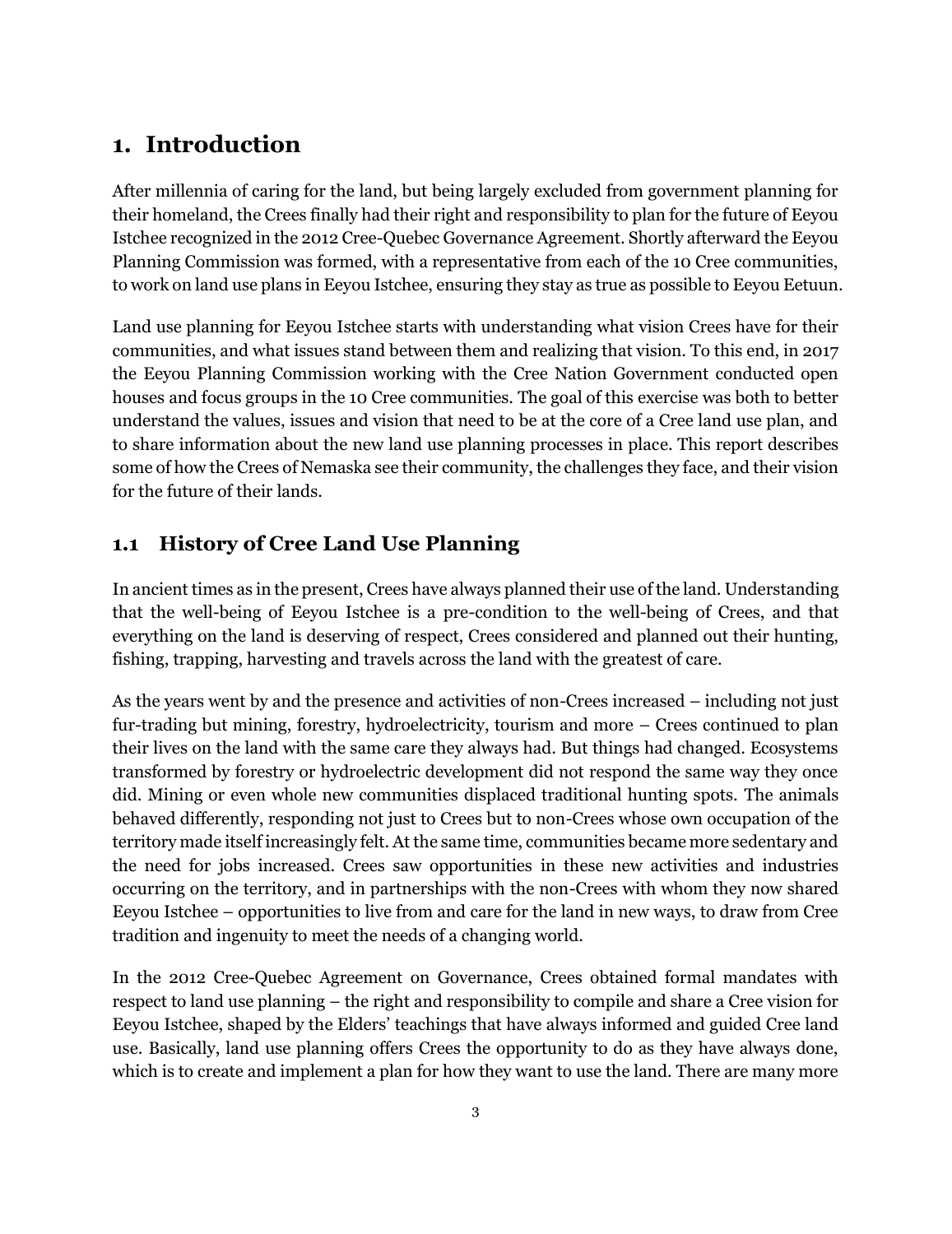# <span id="page-2-0"></span>**1. Introduction**

After millennia of caring for the land, but being largely excluded from government planning for their homeland, the Crees finally had their right and responsibility to plan for the future of Eeyou Istchee recognized in the 2012 Cree-Quebec Governance Agreement. Shortly afterward the Eeyou Planning Commission was formed, with a representative from each of the 10 Cree communities, to work on land use plans in Eeyou Istchee, ensuring they stay as true as possible to Eeyou Eetuun.

Land use planning for Eeyou Istchee starts with understanding what vision Crees have for their communities, and what issues stand between them and realizing that vision. To this end, in 2017 the Eeyou Planning Commission working with the Cree Nation Government conducted open houses and focus groups in the 10 Cree communities. The goal of this exercise was both to better understand the values, issues and vision that need to be at the core of a Cree land use plan, and to share information about the new land use planning processes in place. This report describes some of how the Crees of Nemaska see their community, the challenges they face, and their vision for the future of their lands.

# <span id="page-2-1"></span>**1.1 History of Cree Land Use Planning**

In ancient times as in the present, Crees have always planned their use of the land. Understanding that the well-being of Eeyou Istchee is a pre-condition to the well-being of Crees, and that everything on the land is deserving of respect, Crees considered and planned out their hunting, fishing, trapping, harvesting and travels across the land with the greatest of care.

As the years went by and the presence and activities of non-Crees increased – including not just fur-trading but mining, forestry, hydroelectricity, tourism and more – Crees continued to plan their lives on the land with the same care they always had. But things had changed. Ecosystems transformed by forestry or hydroelectric development did not respond the same way they once did. Mining or even whole new communities displaced traditional hunting spots. The animals behaved differently, responding not just to Crees but to non-Crees whose own occupation of the territory made itself increasingly felt. At the same time, communities became more sedentary and the need for jobs increased. Crees saw opportunities in these new activities and industries occurring on the territory, and in partnerships with the non-Crees with whom they now shared Eeyou Istchee – opportunities to live from and care for the land in new ways, to draw from Cree tradition and ingenuity to meet the needs of a changing world.

In the 2012 Cree-Quebec Agreement on Governance, Crees obtained formal mandates with respect to land use planning – the right and responsibility to compile and share a Cree vision for Eeyou Istchee, shaped by the Elders' teachings that have always informed and guided Cree land use. Basically, land use planning offers Crees the opportunity to do as they have always done, which is to create and implement a plan for how they want to use the land. There are many more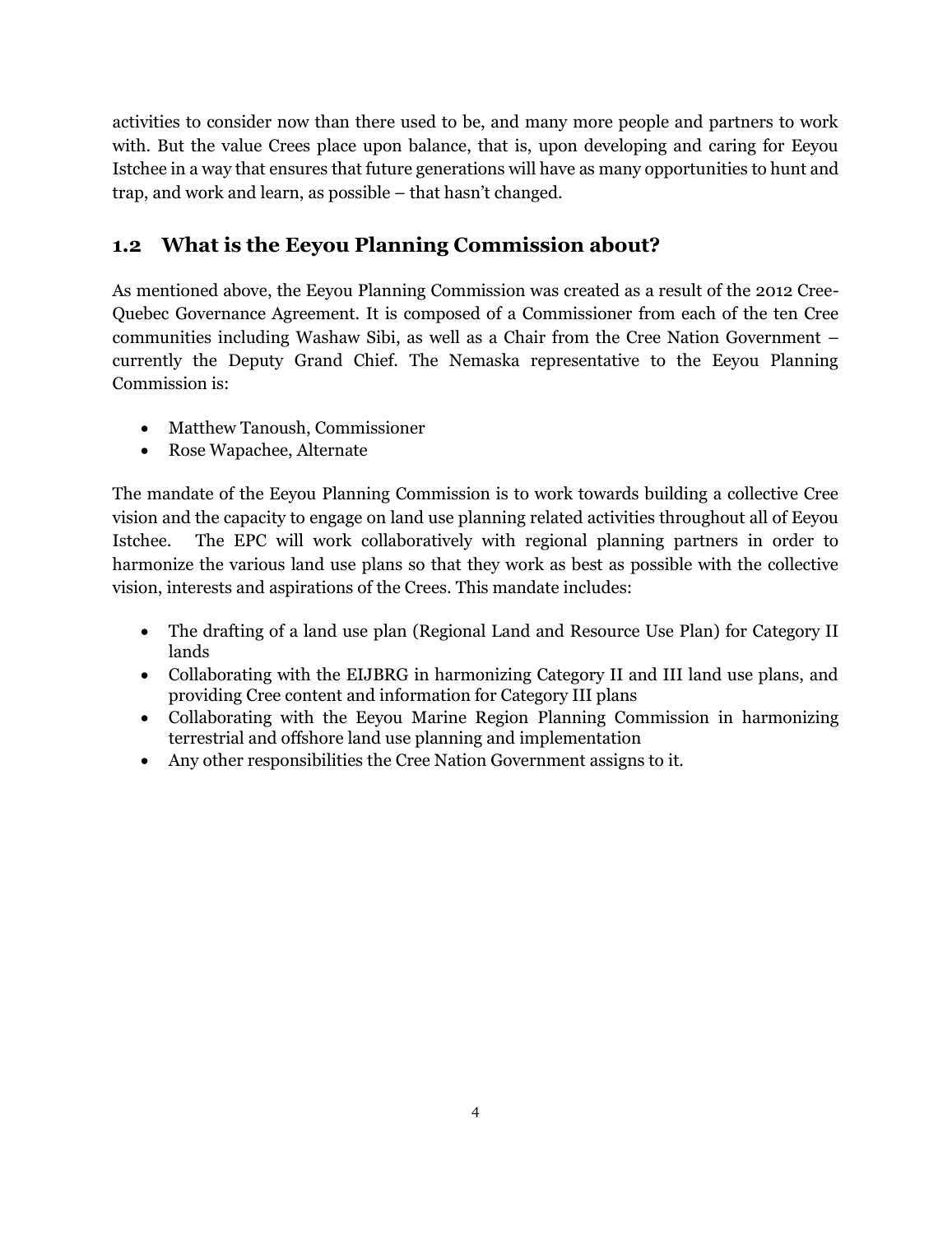activities to consider now than there used to be, and many more people and partners to work with. But the value Crees place upon balance, that is, upon developing and caring for Eeyou Istchee in a way that ensures that future generations will have as many opportunities to hunt and trap, and work and learn, as possible – that hasn't changed.

# <span id="page-3-0"></span>**1.2 What is the Eeyou Planning Commission about?**

As mentioned above, the Eeyou Planning Commission was created as a result of the 2012 Cree-Quebec Governance Agreement. It is composed of a Commissioner from each of the ten Cree communities including Washaw Sibi, as well as a Chair from the Cree Nation Government – currently the Deputy Grand Chief. The Nemaska representative to the Eeyou Planning Commission is:

- Matthew Tanoush, Commissioner
- Rose Wapachee, Alternate

The mandate of the Eeyou Planning Commission is to work towards building a collective Cree vision and the capacity to engage on land use planning related activities throughout all of Eeyou Istchee. The EPC will work collaboratively with regional planning partners in order to harmonize the various land use plans so that they work as best as possible with the collective vision, interests and aspirations of the Crees. This mandate includes:

- The drafting of a land use plan (Regional Land and Resource Use Plan) for Category II lands
- Collaborating with the EIJBRG in harmonizing Category II and III land use plans, and providing Cree content and information for Category III plans
- Collaborating with the Eeyou Marine Region Planning Commission in harmonizing terrestrial and offshore land use planning and implementation
- Any other responsibilities the Cree Nation Government assigns to it.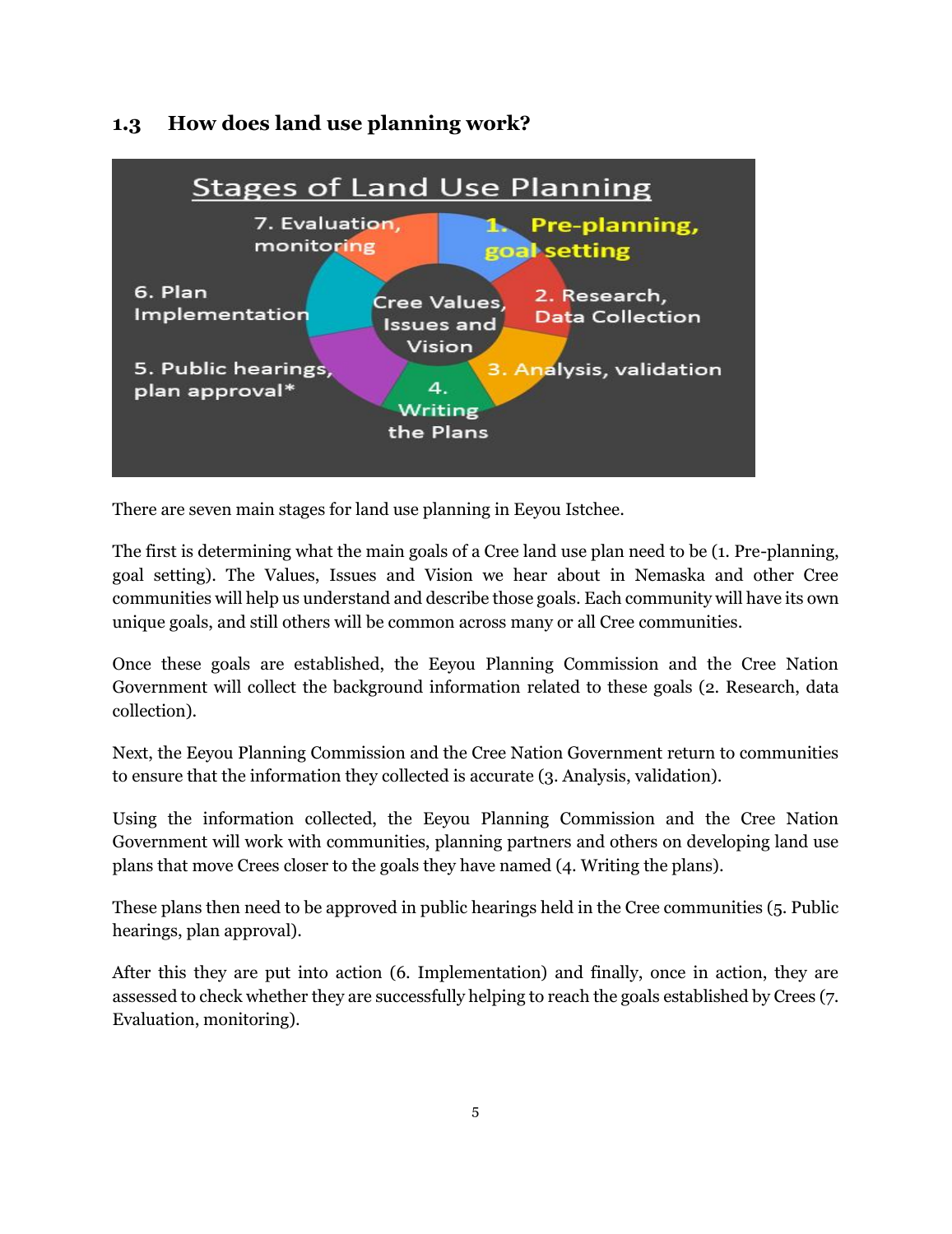#### **Stages of Land Use Planning** 7. Evaluation. Pre-planning, monitoring goal setting 6. Plan 2. Research, Cree Values, Implementation **Data Collection Issues and** Vision 5. Public hearings. 3. Analysis, validation 4. plan approval\* Writing the Plans

# <span id="page-4-0"></span>**1.3 How does land use planning work?**

There are seven main stages for land use planning in Eeyou Istchee.

The first is determining what the main goals of a Cree land use plan need to be (1. Pre-planning, goal setting). The Values, Issues and Vision we hear about in Nemaska and other Cree communities will help us understand and describe those goals. Each community will have its own unique goals, and still others will be common across many or all Cree communities.

Once these goals are established, the Eeyou Planning Commission and the Cree Nation Government will collect the background information related to these goals (2. Research, data collection).

Next, the Eeyou Planning Commission and the Cree Nation Government return to communities to ensure that the information they collected is accurate (3. Analysis, validation).

Using the information collected, the Eeyou Planning Commission and the Cree Nation Government will work with communities, planning partners and others on developing land use plans that move Crees closer to the goals they have named (4. Writing the plans).

These plans then need to be approved in public hearings held in the Cree communities (5. Public hearings, plan approval).

After this they are put into action (6. Implementation) and finally, once in action, they are assessed to check whether they are successfully helping to reach the goals established by Crees (7. Evaluation, monitoring).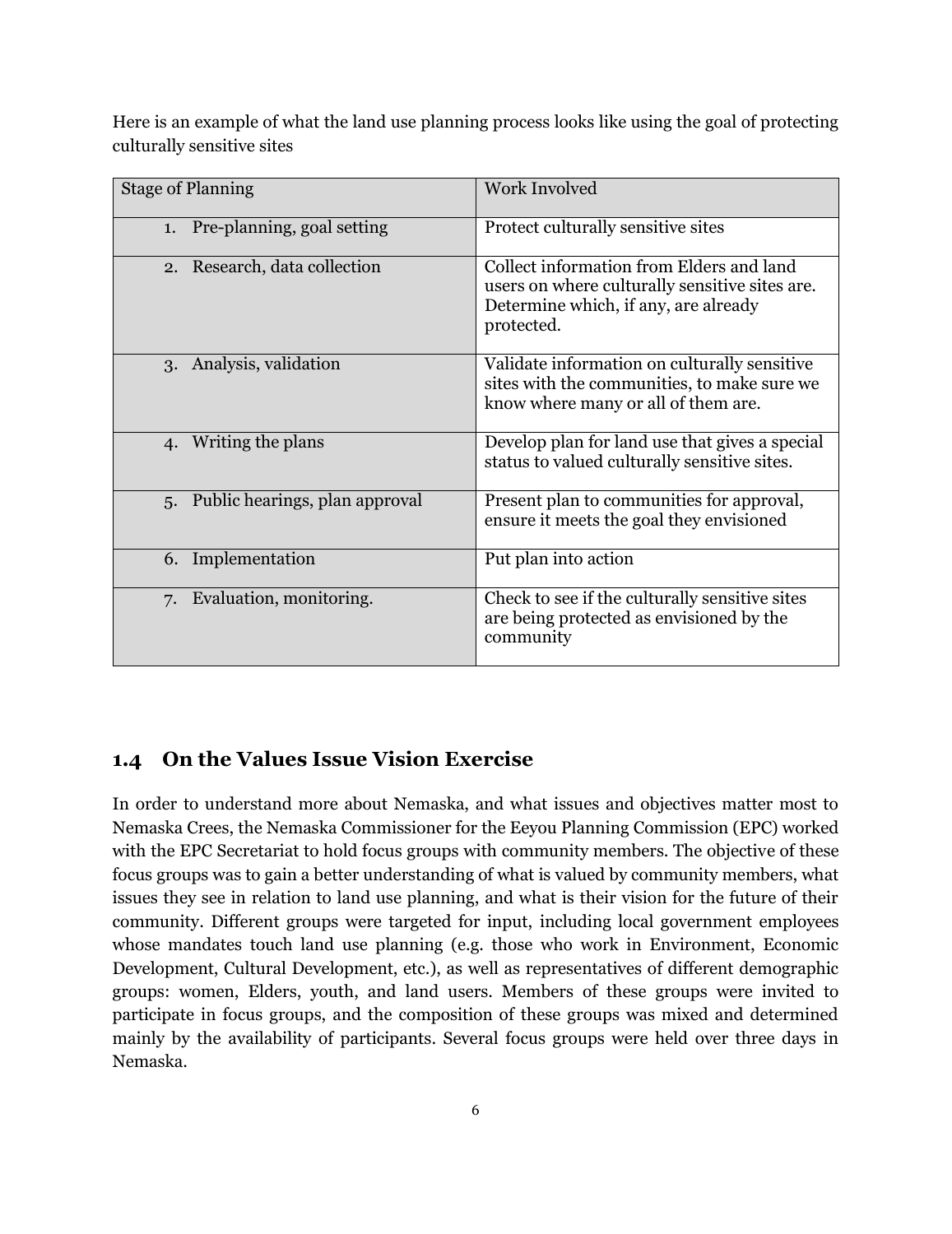Here is an example of what the land use planning process looks like using the goal of protecting culturally sensitive sites

| <b>Stage of Planning</b>             | <b>Work Involved</b>                                                                                                                             |
|--------------------------------------|--------------------------------------------------------------------------------------------------------------------------------------------------|
| Pre-planning, goal setting<br>1.     | Protect culturally sensitive sites                                                                                                               |
| 2. Research, data collection         | Collect information from Elders and land<br>users on where culturally sensitive sites are.<br>Determine which, if any, are already<br>protected. |
| 3. Analysis, validation              | Validate information on culturally sensitive<br>sites with the communities, to make sure we<br>know where many or all of them are.               |
| 4. Writing the plans                 | Develop plan for land use that gives a special<br>status to valued culturally sensitive sites.                                                   |
| Public hearings, plan approval<br>5. | Present plan to communities for approval,<br>ensure it meets the goal they envisioned                                                            |
| 6. Implementation                    | Put plan into action                                                                                                                             |
| Evaluation, monitoring.<br>7.        | Check to see if the culturally sensitive sites<br>are being protected as envisioned by the<br>community                                          |

## <span id="page-5-0"></span>**1.4 On the Values Issue Vision Exercise**

In order to understand more about Nemaska, and what issues and objectives matter most to Nemaska Crees, the Nemaska Commissioner for the Eeyou Planning Commission (EPC) worked with the EPC Secretariat to hold focus groups with community members. The objective of these focus groups was to gain a better understanding of what is valued by community members, what issues they see in relation to land use planning, and what is their vision for the future of their community. Different groups were targeted for input, including local government employees whose mandates touch land use planning (e.g. those who work in Environment, Economic Development, Cultural Development, etc.), as well as representatives of different demographic groups: women, Elders, youth, and land users. Members of these groups were invited to participate in focus groups, and the composition of these groups was mixed and determined mainly by the availability of participants. Several focus groups were held over three days in Nemaska.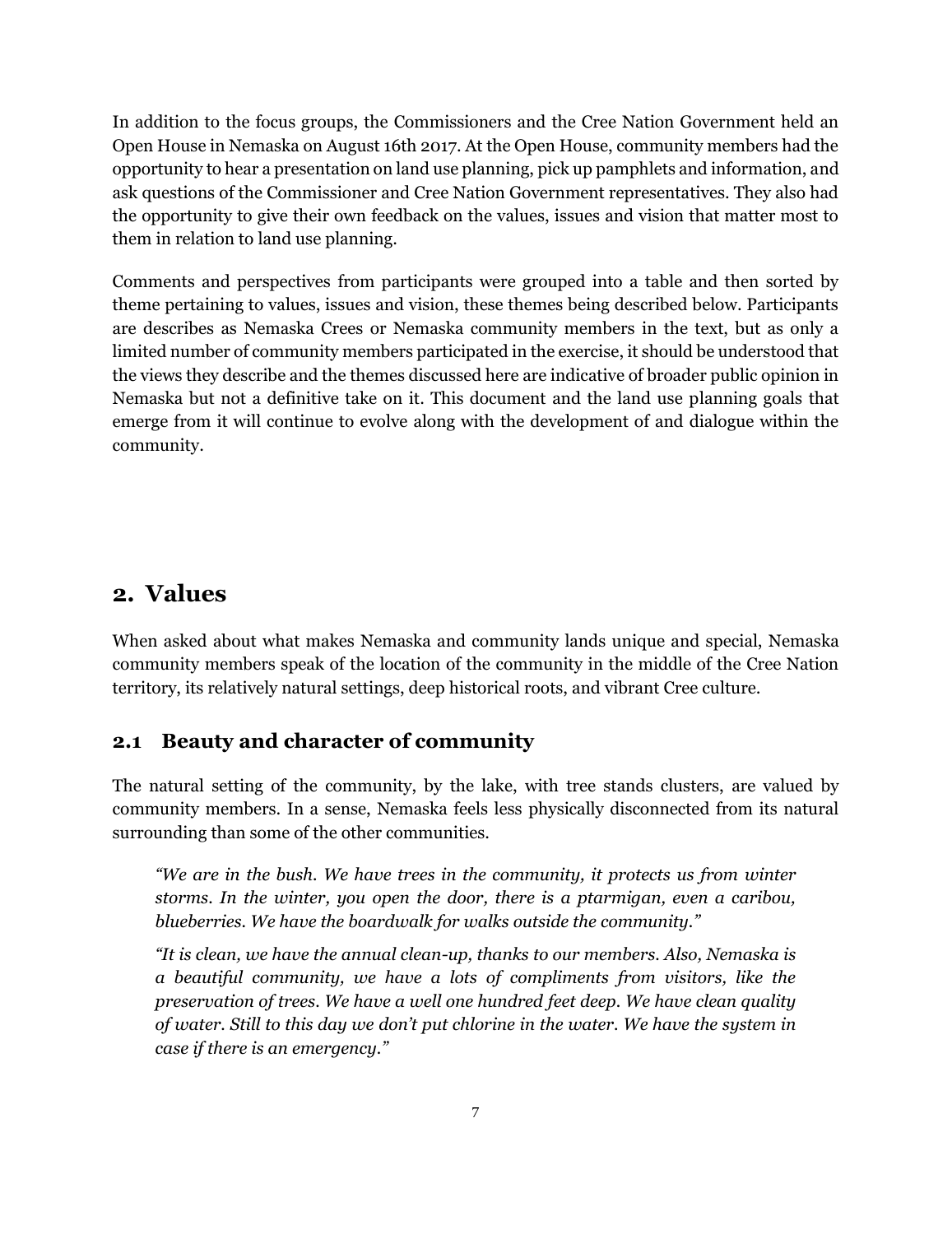In addition to the focus groups, the Commissioners and the Cree Nation Government held an Open House in Nemaska on August 16th 2017. At the Open House, community members had the opportunity to hear a presentation on land use planning, pick up pamphlets and information, and ask questions of the Commissioner and Cree Nation Government representatives. They also had the opportunity to give their own feedback on the values, issues and vision that matter most to them in relation to land use planning.

Comments and perspectives from participants were grouped into a table and then sorted by theme pertaining to values, issues and vision, these themes being described below. Participants are describes as Nemaska Crees or Nemaska community members in the text, but as only a limited number of community members participated in the exercise, it should be understood that the views they describe and the themes discussed here are indicative of broader public opinion in Nemaska but not a definitive take on it. This document and the land use planning goals that emerge from it will continue to evolve along with the development of and dialogue within the community.

## <span id="page-6-0"></span>**2. Values**

When asked about what makes Nemaska and community lands unique and special, Nemaska community members speak of the location of the community in the middle of the Cree Nation territory, its relatively natural settings, deep historical roots, and vibrant Cree culture.

#### <span id="page-6-1"></span>**2.1 Beauty and character of community**

The natural setting of the community, by the lake, with tree stands clusters, are valued by community members. In a sense, Nemaska feels less physically disconnected from its natural surrounding than some of the other communities.

*"We are in the bush. We have trees in the community, it protects us from winter storms. In the winter, you open the door, there is a ptarmigan, even a caribou, blueberries. We have the boardwalk for walks outside the community."*

*"It is clean, we have the annual clean-up, thanks to our members. Also, Nemaska is a beautiful community, we have a lots of compliments from visitors, like the preservation of trees. We have a well one hundred feet deep. We have clean quality of water. Still to this day we don't put chlorine in the water. We have the system in case if there is an emergency."*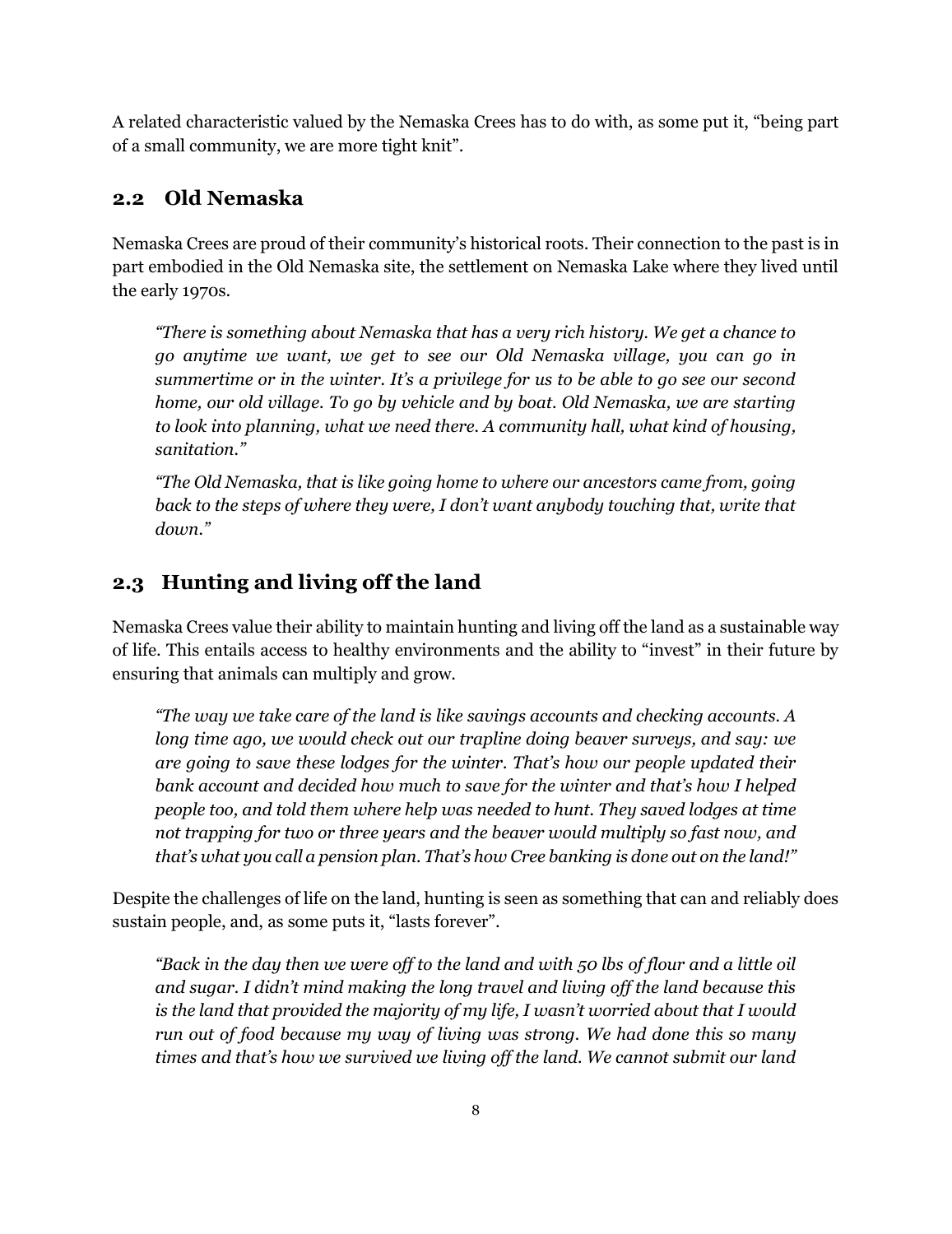A related characteristic valued by the Nemaska Crees has to do with, as some put it, "being part of a small community, we are more tight knit".

## <span id="page-7-0"></span>**2.2 Old Nemaska**

Nemaska Crees are proud of their community's historical roots. Their connection to the past is in part embodied in the Old Nemaska site, the settlement on Nemaska Lake where they lived until the early 1970s.

*"There is something about Nemaska that has a very rich history. We get a chance to go anytime we want, we get to see our Old Nemaska village, you can go in summertime or in the winter. It's a privilege for us to be able to go see our second home, our old village. To go by vehicle and by boat. Old Nemaska, we are starting to look into planning, what we need there. A community hall, what kind of housing, sanitation."*

*"The Old Nemaska, that is like going home to where our ancestors came from, going*  back to the steps of where they were, I don't want anybody touching that, write that *down."*

# <span id="page-7-1"></span>**2.3 Hunting and living off the land**

Nemaska Crees value their ability to maintain hunting and living off the land as a sustainable way of life. This entails access to healthy environments and the ability to "invest" in their future by ensuring that animals can multiply and grow.

*"The way we take care of the land is like savings accounts and checking accounts. A long time ago, we would check out our trapline doing beaver surveys, and say: we are going to save these lodges for the winter. That's how our people updated their bank account and decided how much to save for the winter and that's how I helped people too, and told them where help was needed to hunt. They saved lodges at time not trapping for two or three years and the beaver would multiply so fast now, and that's what you call a pension plan. That's how Cree banking is done out on the land!"*

Despite the challenges of life on the land, hunting is seen as something that can and reliably does sustain people, and, as some puts it, "lasts forever".

*"Back in the day then we were off to the land and with 50 lbs of flour and a little oil and sugar. I didn't mind making the long travel and living off the land because this is the land that provided the majority of my life, I wasn't worried about that I would run out of food because my way of living was strong. We had done this so many times and that's how we survived we living off the land. We cannot submit our land*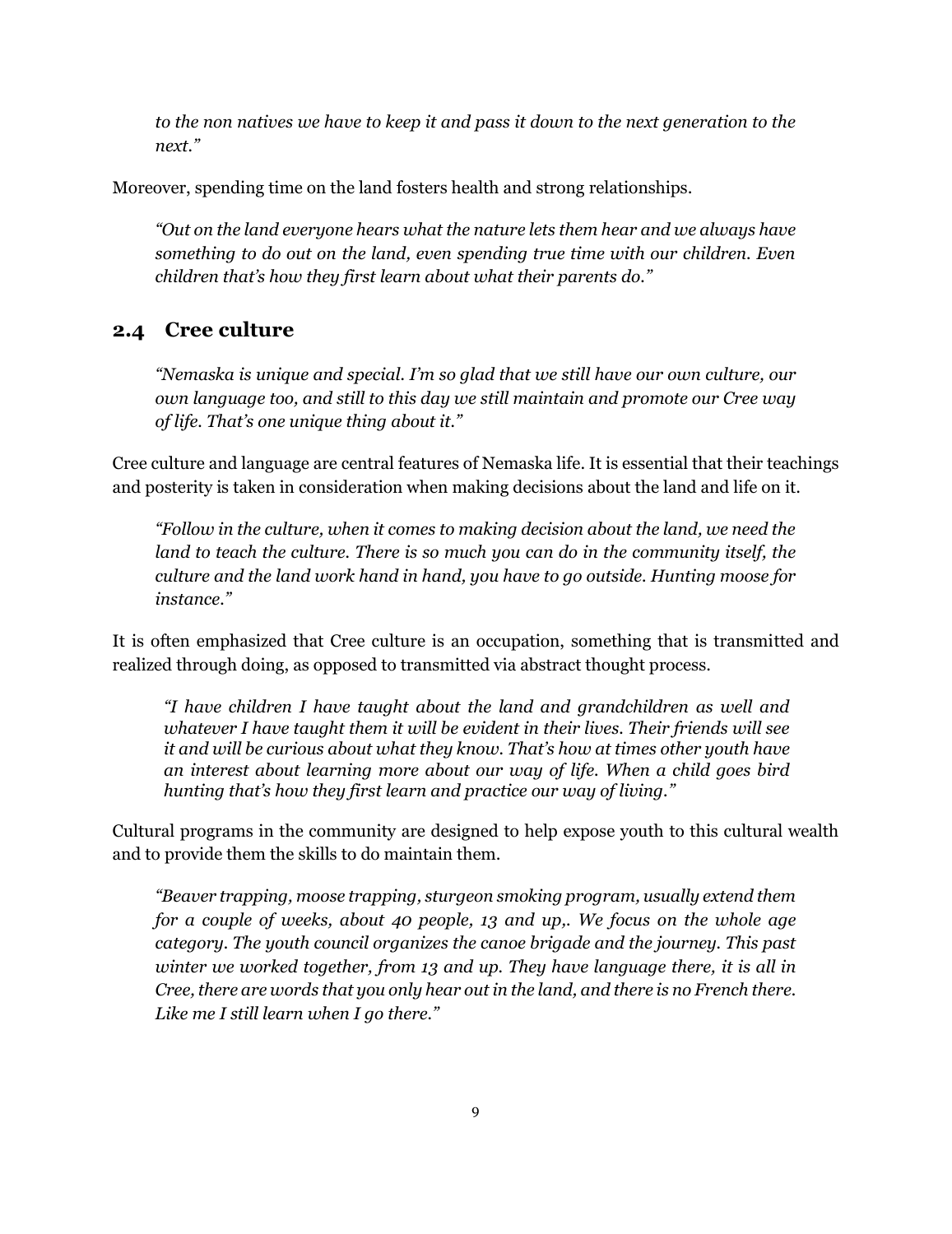*to the non natives we have to keep it and pass it down to the next generation to the next."*

Moreover, spending time on the land fosters health and strong relationships.

*"Out on the land everyone hears what the nature lets them hear and we always have something to do out on the land, even spending true time with our children. Even children that's how they first learn about what their parents do."*

#### <span id="page-8-0"></span>**2.4 Cree culture**

*"Nemaska is unique and special. I'm so glad that we still have our own culture, our own language too, and still to this day we still maintain and promote our Cree way of life. That's one unique thing about it."*

Cree culture and language are central features of Nemaska life. It is essential that their teachings and posterity is taken in consideration when making decisions about the land and life on it.

*"Follow in the culture, when it comes to making decision about the land, we need the*  land to teach the culture. There is so much you can do in the community itself, the *culture and the land work hand in hand, you have to go outside. Hunting moose for instance."*

It is often emphasized that Cree culture is an occupation, something that is transmitted and realized through doing, as opposed to transmitted via abstract thought process.

*"I have children I have taught about the land and grandchildren as well and whatever I have taught them it will be evident in their lives. Their friends will see it and will be curious about what they know. That's how at times other youth have an interest about learning more about our way of life. When a child goes bird hunting that's how they first learn and practice our way of living."*

Cultural programs in the community are designed to help expose youth to this cultural wealth and to provide them the skills to do maintain them.

*"Beaver trapping, moose trapping, sturgeon smoking program, usually extend them for a couple of weeks, about 40 people, 13 and up,. We focus on the whole age category. The youth council organizes the canoe brigade and the journey. This past winter we worked together, from 13 and up. They have language there, it is all in Cree, there are words that you only hear out in the land, and there is no French there. Like me I still learn when I go there."*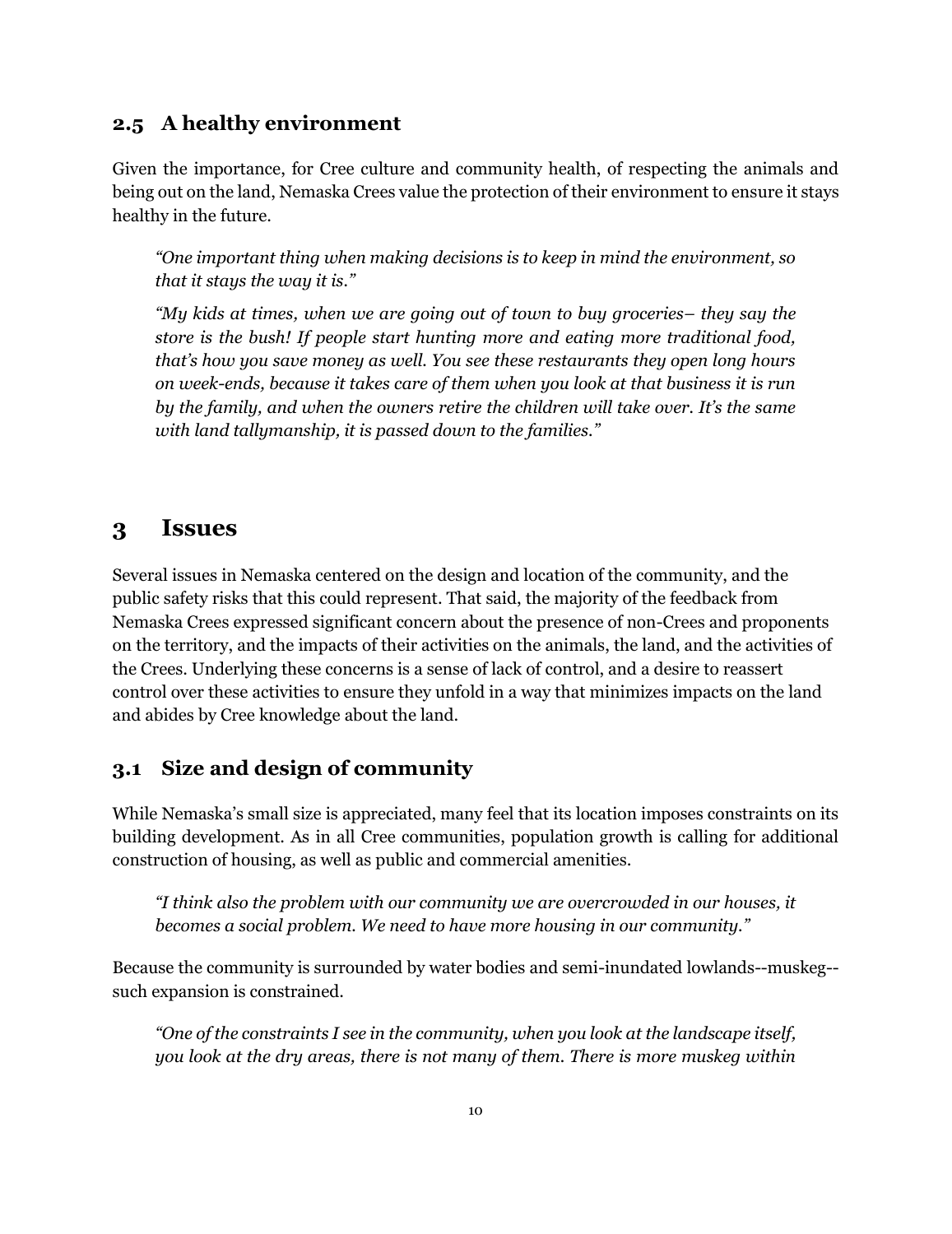#### <span id="page-9-0"></span>**2.5 A healthy environment**

Given the importance, for Cree culture and community health, of respecting the animals and being out on the land, Nemaska Crees value the protection of their environment to ensure it stays healthy in the future.

*"One important thing when making decisions is to keep in mind the environment, so that it stays the way it is."*

*"My kids at times, when we are going out of town to buy groceries– they say the store is the bush! If people start hunting more and eating more traditional food, that's how you save money as well. You see these restaurants they open long hours on week-ends, because it takes care of them when you look at that business it is run by the family, and when the owners retire the children will take over. It's the same with land tallymanship, it is passed down to the families."*

#### <span id="page-9-1"></span>**3 Issues**

Several issues in Nemaska centered on the design and location of the community, and the public safety risks that this could represent. That said, the majority of the feedback from Nemaska Crees expressed significant concern about the presence of non-Crees and proponents on the territory, and the impacts of their activities on the animals, the land, and the activities of the Crees. Underlying these concerns is a sense of lack of control, and a desire to reassert control over these activities to ensure they unfold in a way that minimizes impacts on the land and abides by Cree knowledge about the land.

#### <span id="page-9-2"></span>**3.1 Size and design of community**

While Nemaska's small size is appreciated, many feel that its location imposes constraints on its building development. As in all Cree communities, population growth is calling for additional construction of housing, as well as public and commercial amenities.

*"I think also the problem with our community we are overcrowded in our houses, it becomes a social problem. We need to have more housing in our community."*

Because the community is surrounded by water bodies and semi-inundated lowlands--muskeg- such expansion is constrained.

*"One of the constraints I see in the community, when you look at the landscape itself, you look at the dry areas, there is not many of them. There is more muskeg within*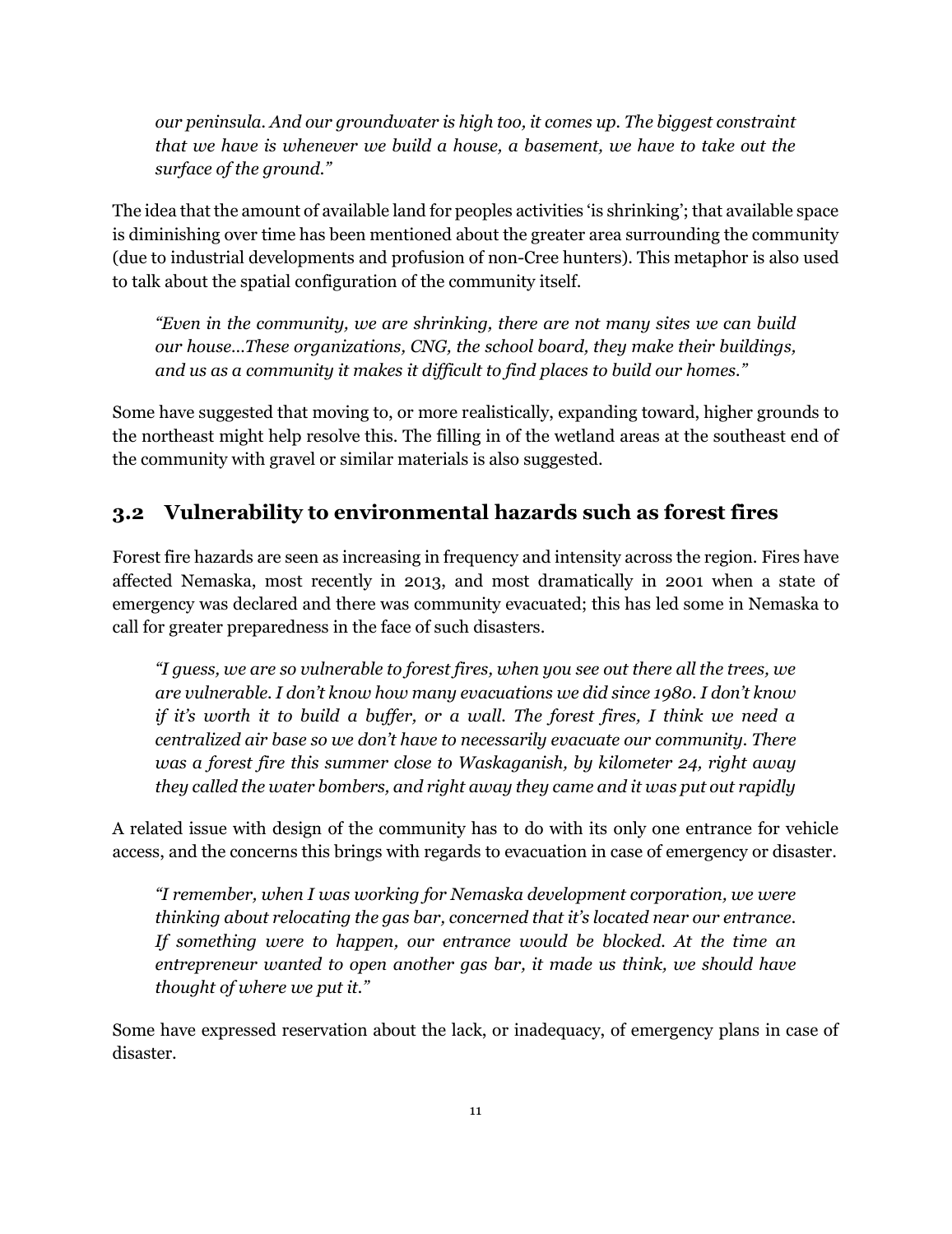*our peninsula. And our groundwater is high too, it comes up. The biggest constraint that we have is whenever we build a house, a basement, we have to take out the surface of the ground."*

The idea that the amount of available land for peoples activities 'is shrinking'; that available space is diminishing over time has been mentioned about the greater area surrounding the community (due to industrial developments and profusion of non-Cree hunters). This metaphor is also used to talk about the spatial configuration of the community itself.

*"Even in the community, we are shrinking, there are not many sites we can build our house…These organizations, CNG, the school board, they make their buildings, and us as a community it makes it difficult to find places to build our homes."*

Some have suggested that moving to, or more realistically, expanding toward, higher grounds to the northeast might help resolve this. The filling in of the wetland areas at the southeast end of the community with gravel or similar materials is also suggested.

## <span id="page-10-0"></span>**3.2 Vulnerability to environmental hazards such as forest fires**

Forest fire hazards are seen as increasing in frequency and intensity across the region. Fires have affected Nemaska, most recently in 2013, and most dramatically in 2001 when a state of emergency was declared and there was community evacuated; this has led some in Nemaska to call for greater preparedness in the face of such disasters.

*"I guess, we are so vulnerable to forest fires, when you see out there all the trees, we are vulnerable. I don't know how many evacuations we did since 1980. I don't know if it's worth it to build a buffer, or a wall. The forest fires, I think we need a centralized air base so we don't have to necessarily evacuate our community. There was a forest fire this summer close to Waskaganish, by kilometer 24, right away they called the water bombers, and right away they came and it was put out rapidly*

A related issue with design of the community has to do with its only one entrance for vehicle access, and the concerns this brings with regards to evacuation in case of emergency or disaster.

*"I remember, when I was working for Nemaska development corporation, we were thinking about relocating the gas bar, concerned that it's located near our entrance. If something were to happen, our entrance would be blocked. At the time an entrepreneur wanted to open another gas bar, it made us think, we should have thought of where we put it."*

Some have expressed reservation about the lack, or inadequacy, of emergency plans in case of disaster.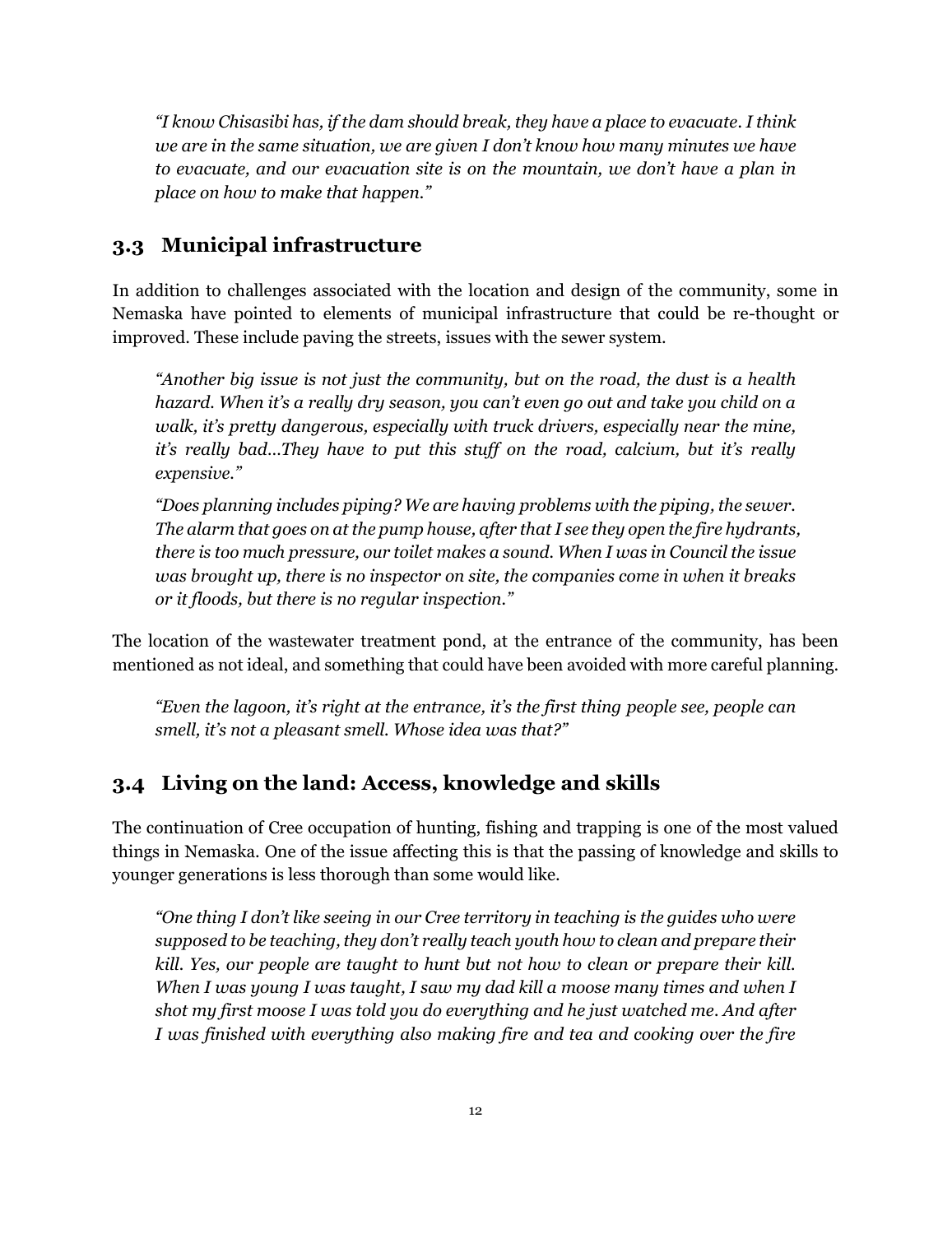*"I know Chisasibi has, if the dam should break, they have a place to evacuate. I think we are in the same situation, we are given I don't know how many minutes we have to evacuate, and our evacuation site is on the mountain, we don't have a plan in place on how to make that happen."*

#### <span id="page-11-0"></span>**3.3 Municipal infrastructure**

In addition to challenges associated with the location and design of the community, some in Nemaska have pointed to elements of municipal infrastructure that could be re-thought or improved. These include paving the streets, issues with the sewer system.

*"Another big issue is not just the community, but on the road, the dust is a health hazard. When it's a really dry season, you can't even go out and take you child on a walk, it's pretty dangerous, especially with truck drivers, especially near the mine, it's really bad...They have to put this stuff on the road, calcium, but it's really expensive."*

*"Does planning includes piping? We are having problems with the piping, the sewer. The alarm that goes on at the pump house, after that I see they open the fire hydrants, there is too much pressure, our toilet makes a sound. When I was in Council the issue was brought up, there is no inspector on site, the companies come in when it breaks or it floods, but there is no regular inspection."*

The location of the wastewater treatment pond, at the entrance of the community, has been mentioned as not ideal, and something that could have been avoided with more careful planning.

*"Even the lagoon, it's right at the entrance, it's the first thing people see, people can smell, it's not a pleasant smell. Whose idea was that?"*

## <span id="page-11-1"></span>**3.4 Living on the land: Access, knowledge and skills**

The continuation of Cree occupation of hunting, fishing and trapping is one of the most valued things in Nemaska. One of the issue affecting this is that the passing of knowledge and skills to younger generations is less thorough than some would like.

*"One thing I don't like seeing in our Cree territory in teaching is the guides who were supposed to be teaching, they don't really teach youth how to clean and prepare their kill. Yes, our people are taught to hunt but not how to clean or prepare their kill. When I was young I was taught, I saw my dad kill a moose many times and when I shot my first moose I was told you do everything and he just watched me. And after I was finished with everything also making fire and tea and cooking over the fire*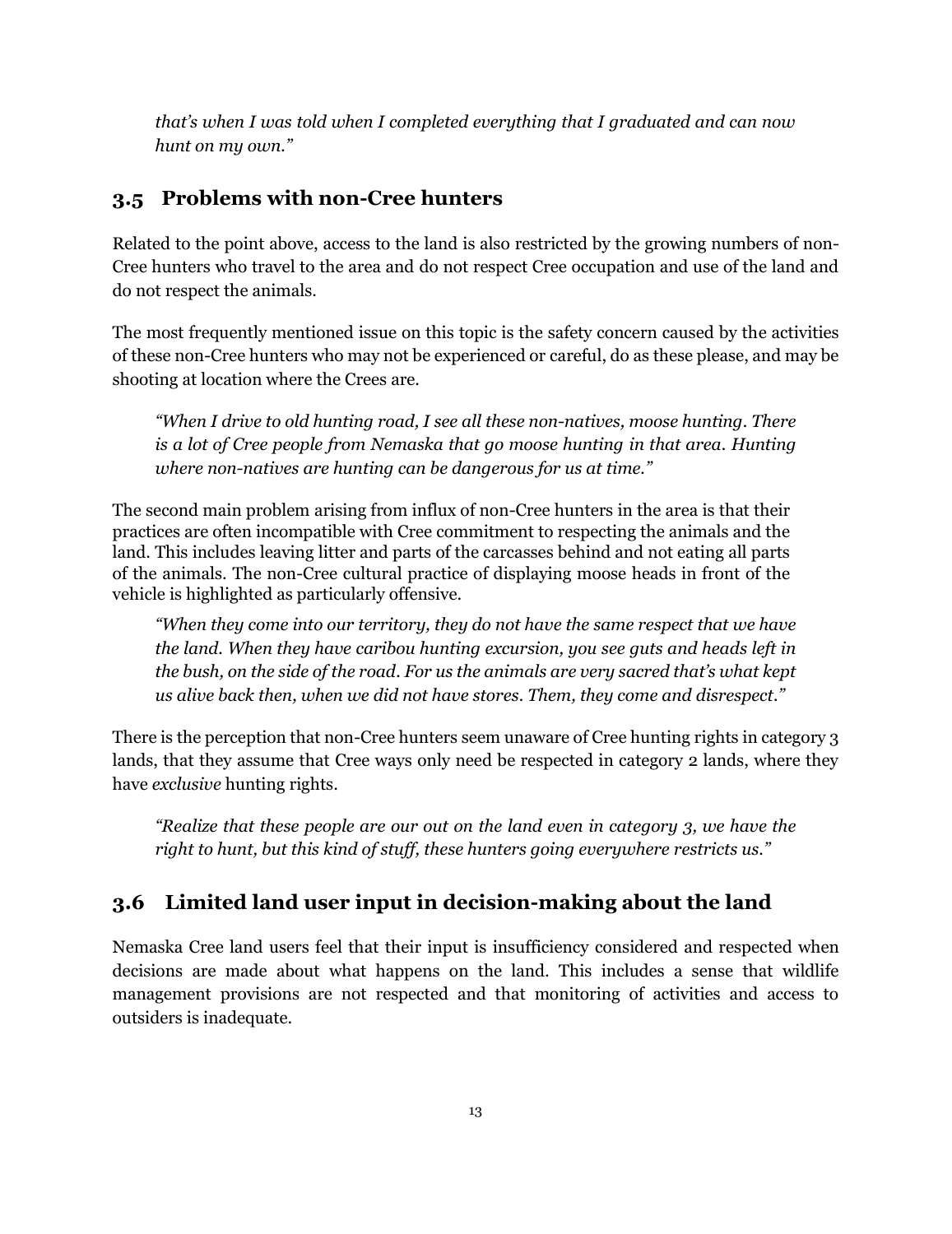*that's when I was told when I completed everything that I graduated and can now hunt on my own."*

# <span id="page-12-0"></span>**3.5 Problems with non-Cree hunters**

Related to the point above, access to the land is also restricted by the growing numbers of non-Cree hunters who travel to the area and do not respect Cree occupation and use of the land and do not respect the animals.

The most frequently mentioned issue on this topic is the safety concern caused by the activities of these non-Cree hunters who may not be experienced or careful, do as these please, and may be shooting at location where the Crees are.

*"When I drive to old hunting road, I see all these non-natives, moose hunting. There is a lot of Cree people from Nemaska that go moose hunting in that area. Hunting where non-natives are hunting can be dangerous for us at time."*

The second main problem arising from influx of non-Cree hunters in the area is that their practices are often incompatible with Cree commitment to respecting the animals and the land. This includes leaving litter and parts of the carcasses behind and not eating all parts of the animals. The non-Cree cultural practice of displaying moose heads in front of the vehicle is highlighted as particularly offensive.

*"When they come into our territory, they do not have the same respect that we have the land. When they have caribou hunting excursion, you see guts and heads left in the bush, on the side of the road. For us the animals are very sacred that's what kept us alive back then, when we did not have stores. Them, they come and disrespect."*

There is the perception that non-Cree hunters seem unaware of Cree hunting rights in category 3 lands, that they assume that Cree ways only need be respected in category 2 lands, where they have *exclusive* hunting rights.

*"Realize that these people are our out on the land even in category 3, we have the right to hunt, but this kind of stuff, these hunters going everywhere restricts us."*

# <span id="page-12-1"></span>**3.6 Limited land user input in decision-making about the land**

Nemaska Cree land users feel that their input is insufficiency considered and respected when decisions are made about what happens on the land. This includes a sense that wildlife management provisions are not respected and that monitoring of activities and access to outsiders is inadequate.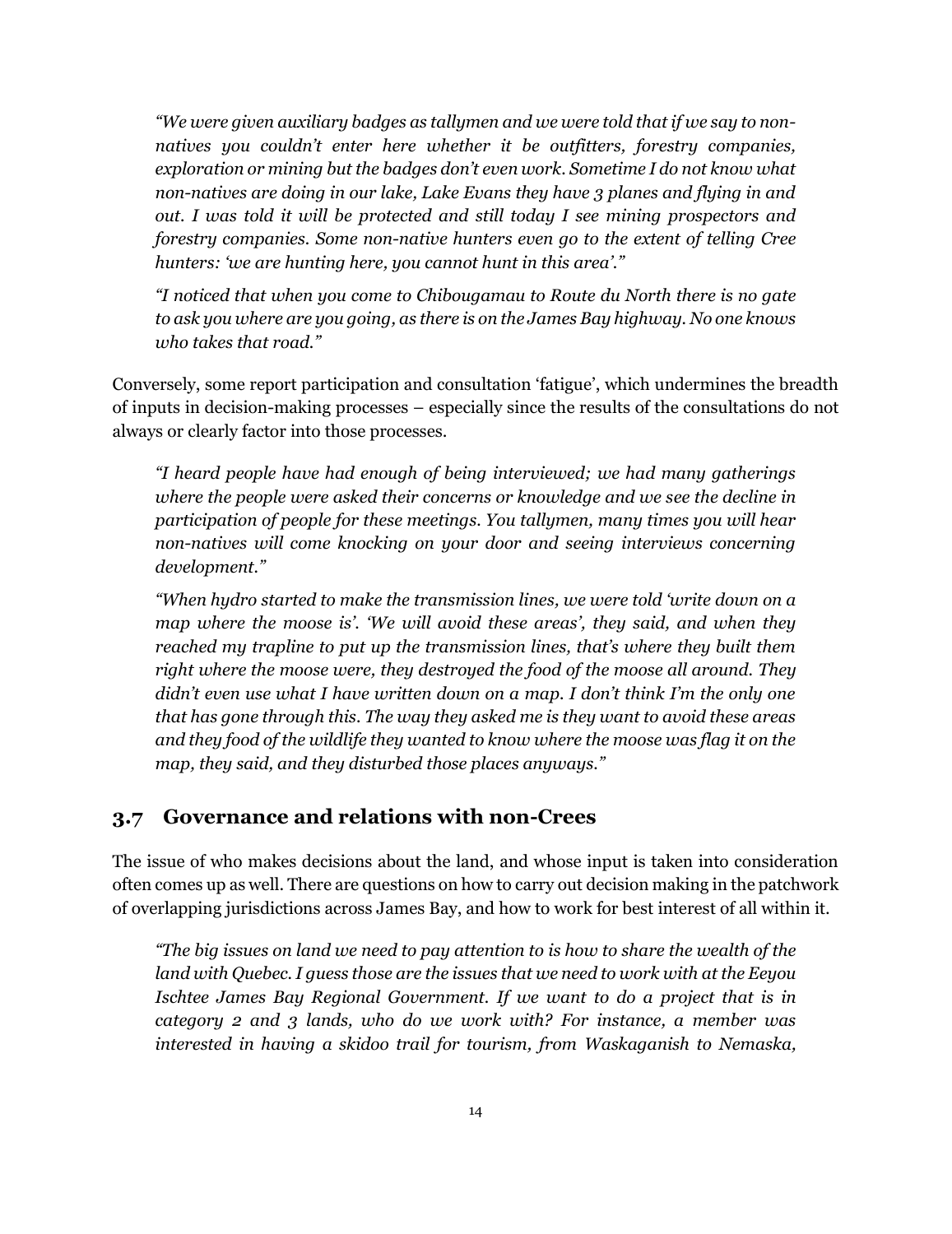*"We were given auxiliary badges as tallymen and we were told that if we say to nonnatives you couldn't enter here whether it be outfitters, forestry companies, exploration or mining but the badges don't even work. Sometime I do not know what non-natives are doing in our lake, Lake Evans they have 3 planes and flying in and out. I was told it will be protected and still today I see mining prospectors and forestry companies. Some non-native hunters even go to the extent of telling Cree hunters: 'we are hunting here, you cannot hunt in this area'."*

*"I noticed that when you come to Chibougamau to Route du North there is no gate to ask you where are you going, as there is on the James Bay highway. No one knows who takes that road."*

Conversely, some report participation and consultation 'fatigue', which undermines the breadth of inputs in decision-making processes – especially since the results of the consultations do not always or clearly factor into those processes.

*"I heard people have had enough of being interviewed; we had many gatherings where the people were asked their concerns or knowledge and we see the decline in participation of people for these meetings. You tallymen, many times you will hear non-natives will come knocking on your door and seeing interviews concerning development."*

*"When hydro started to make the transmission lines, we were told 'write down on a map where the moose is'. 'We will avoid these areas', they said, and when they reached my trapline to put up the transmission lines, that's where they built them right where the moose were, they destroyed the food of the moose all around. They didn't even use what I have written down on a map. I don't think I'm the only one that has gone through this. The way they asked me is they want to avoid these areas and they food of the wildlife they wanted to know where the moose was flag it on the map, they said, and they disturbed those places anyways."*

#### <span id="page-13-0"></span>**3.7 Governance and relations with non-Crees**

The issue of who makes decisions about the land, and whose input is taken into consideration often comes up as well. There are questions on how to carry out decision making in the patchwork of overlapping jurisdictions across James Bay, and how to work for best interest of all within it.

*"The big issues on land we need to pay attention to is how to share the wealth of the land with Quebec. I guess those are the issues that we need to work with at the Eeyou Ischtee James Bay Regional Government. If we want to do a project that is in category 2 and 3 lands, who do we work with? For instance, a member was interested in having a skidoo trail for tourism, from Waskaganish to Nemaska,*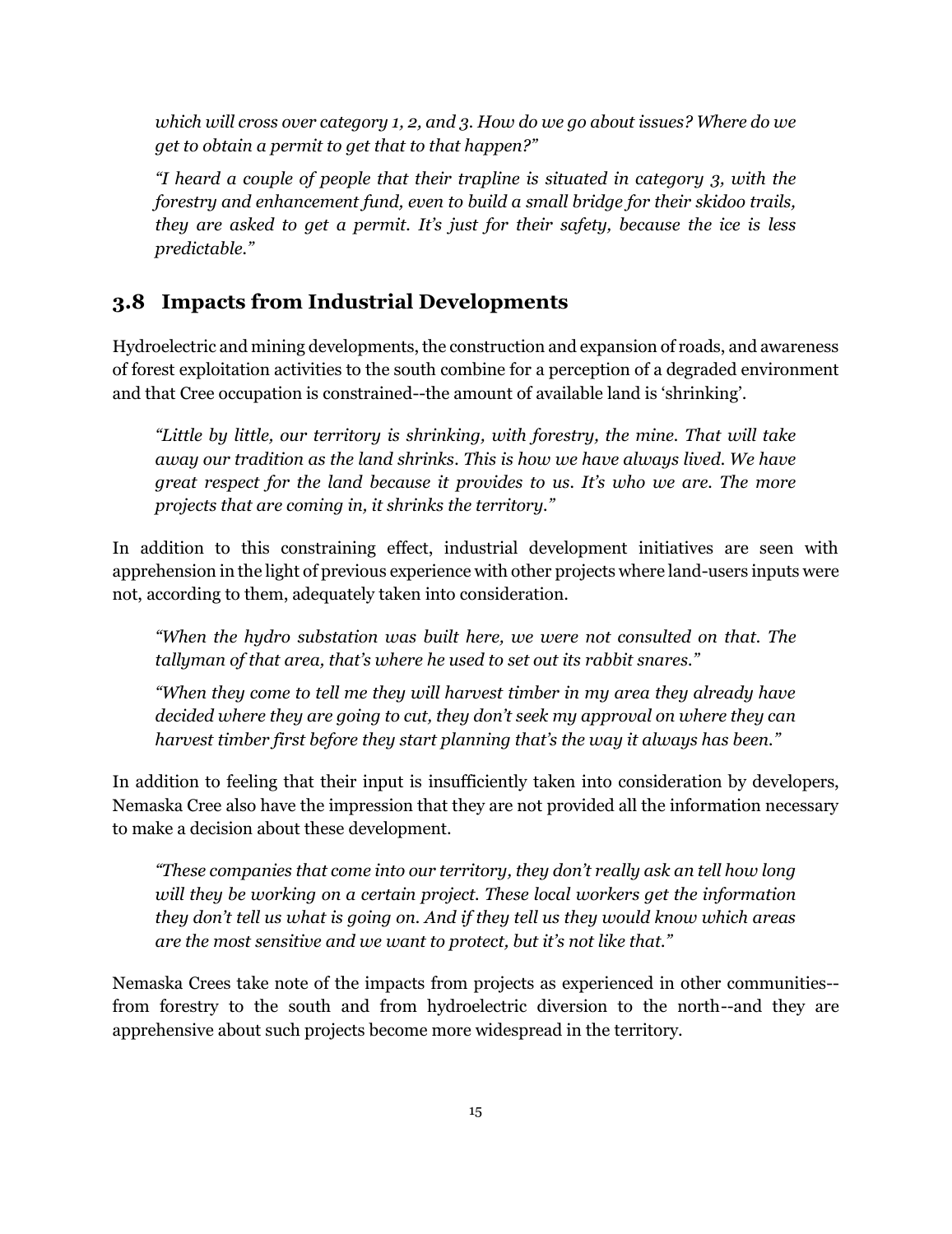*which will cross over category 1, 2, and 3. How do we go about issues? Where do we get to obtain a permit to get that to that happen?"*

*"I heard a couple of people that their trapline is situated in category 3, with the forestry and enhancement fund, even to build a small bridge for their skidoo trails, they are asked to get a permit. It's just for their safety, because the ice is less predictable."*

#### <span id="page-14-0"></span>**3.8 Impacts from Industrial Developments**

Hydroelectric and mining developments, the construction and expansion of roads, and awareness of forest exploitation activities to the south combine for a perception of a degraded environment and that Cree occupation is constrained--the amount of available land is 'shrinking'.

*"Little by little, our territory is shrinking, with forestry, the mine. That will take away our tradition as the land shrinks. This is how we have always lived. We have great respect for the land because it provides to us. It's who we are. The more projects that are coming in, it shrinks the territory."*

In addition to this constraining effect, industrial development initiatives are seen with apprehension in the light of previous experience with other projects where land-users inputs were not, according to them, adequately taken into consideration.

*"When the hydro substation was built here, we were not consulted on that. The tallyman of that area, that's where he used to set out its rabbit snares."*

*"When they come to tell me they will harvest timber in my area they already have decided where they are going to cut, they don't seek my approval on where they can harvest timber first before they start planning that's the way it always has been."*

In addition to feeling that their input is insufficiently taken into consideration by developers, Nemaska Cree also have the impression that they are not provided all the information necessary to make a decision about these development.

*"These companies that come into our territory, they don't really ask an tell how long will they be working on a certain project. These local workers get the information they don't tell us what is going on. And if they tell us they would know which areas are the most sensitive and we want to protect, but it's not like that."*

Nemaska Crees take note of the impacts from projects as experienced in other communities- from forestry to the south and from hydroelectric diversion to the north--and they are apprehensive about such projects become more widespread in the territory.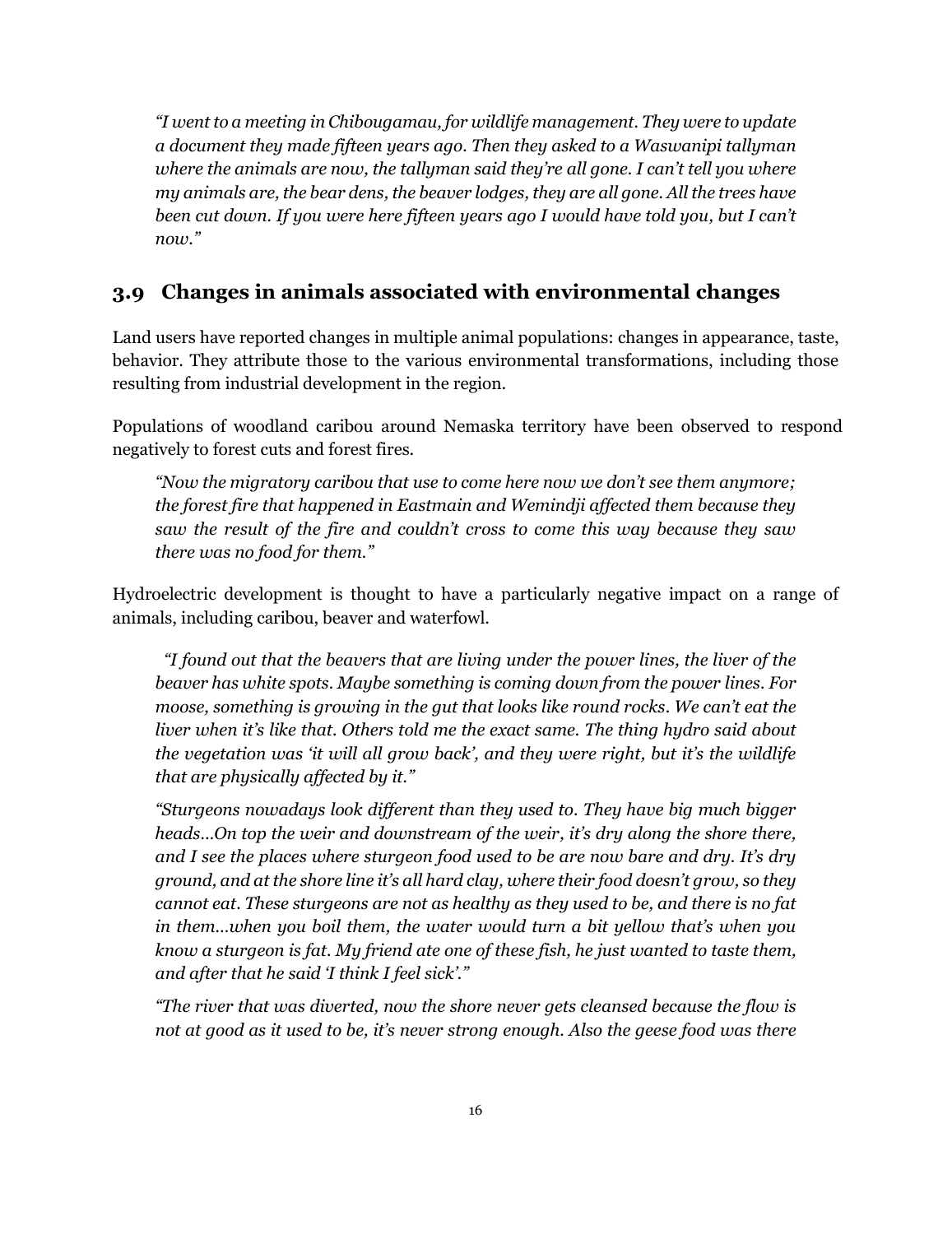*"I went to a meeting in Chibougamau, for wildlife management. They were to update a document they made fifteen years ago. Then they asked to a Waswanipi tallyman where the animals are now, the tallyman said they're all gone. I can't tell you where my animals are, the bear dens, the beaver lodges, they are all gone. All the trees have been cut down. If you were here fifteen years ago I would have told you, but I can't now."*

#### <span id="page-15-0"></span>**3.9 Changes in animals associated with environmental changes**

Land users have reported changes in multiple animal populations: changes in appearance, taste, behavior. They attribute those to the various environmental transformations, including those resulting from industrial development in the region.

Populations of woodland caribou around Nemaska territory have been observed to respond negatively to forest cuts and forest fires.

*"Now the migratory caribou that use to come here now we don't see them anymore; the forest fire that happened in Eastmain and Wemindji affected them because they saw the result of the fire and couldn't cross to come this way because they saw there was no food for them."*

Hydroelectric development is thought to have a particularly negative impact on a range of animals, including caribou, beaver and waterfowl.

*"I found out that the beavers that are living under the power lines, the liver of the beaver has white spots. Maybe something is coming down from the power lines. For moose, something is growing in the gut that looks like round rocks. We can't eat the liver when it's like that. Others told me the exact same. The thing hydro said about the vegetation was 'it will all grow back', and they were right, but it's the wildlife that are physically affected by it."*

*"Sturgeons nowadays look different than they used to. They have big much bigger heads…On top the weir and downstream of the weir, it's dry along the shore there, and I see the places where sturgeon food used to be are now bare and dry. It's dry ground, and at the shore line it's all hard clay, where their food doesn't grow, so they cannot eat. These sturgeons are not as healthy as they used to be, and there is no fat in them…when you boil them, the water would turn a bit yellow that's when you know a sturgeon is fat. My friend ate one of these fish, he just wanted to taste them, and after that he said 'I think I feel sick'."*

*"The river that was diverted, now the shore never gets cleansed because the flow is not at good as it used to be, it's never strong enough. Also the geese food was there*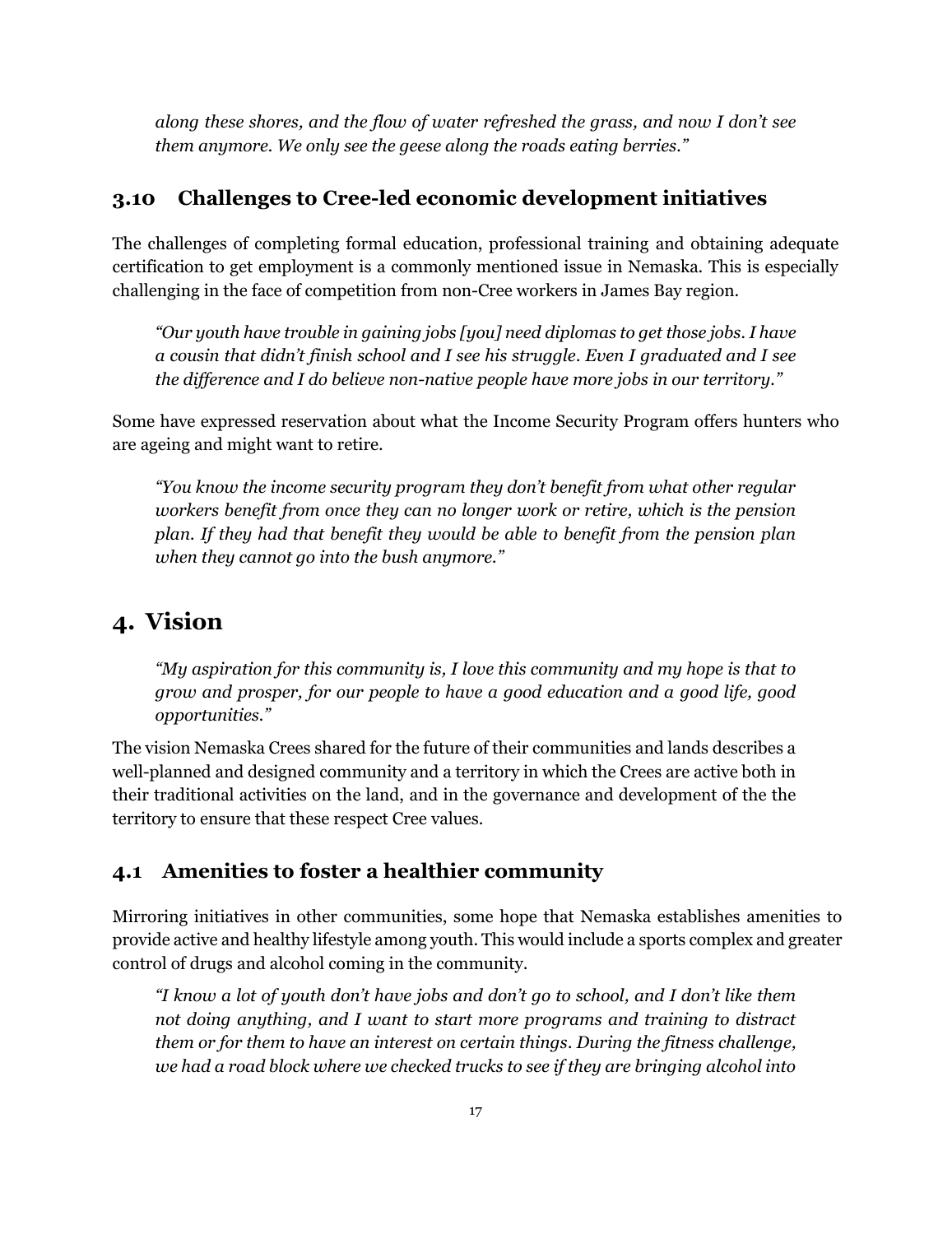*along these shores, and the flow of water refreshed the grass, and now I don't see them anymore. We only see the geese along the roads eating berries."*

#### <span id="page-16-0"></span>**3.10 Challenges to Cree-led economic development initiatives**

The challenges of completing formal education, professional training and obtaining adequate certification to get employment is a commonly mentioned issue in Nemaska. This is especially challenging in the face of competition from non-Cree workers in James Bay region.

*"Our youth have trouble in gaining jobs [you] need diplomas to get those jobs. I have a cousin that didn't finish school and I see his struggle. Even I graduated and I see the difference and I do believe non-native people have more jobs in our territory."*

Some have expressed reservation about what the Income Security Program offers hunters who are ageing and might want to retire.

*"You know the income security program they don't benefit from what other regular workers benefit from once they can no longer work or retire, which is the pension plan. If they had that benefit they would be able to benefit from the pension plan when they cannot go into the bush anymore."*

# <span id="page-16-1"></span>**4. Vision**

*"My aspiration for this community is, I love this community and my hope is that to grow and prosper, for our people to have a good education and a good life, good opportunities."*

The vision Nemaska Crees shared for the future of their communities and lands describes a well-planned and designed community and a territory in which the Crees are active both in their traditional activities on the land, and in the governance and development of the the territory to ensure that these respect Cree values.

#### <span id="page-16-2"></span>**4.1 Amenities to foster a healthier community**

Mirroring initiatives in other communities, some hope that Nemaska establishes amenities to provide active and healthy lifestyle among youth. This would include a sports complex and greater control of drugs and alcohol coming in the community.

*"I know a lot of youth don't have jobs and don't go to school, and I don't like them not doing anything, and I want to start more programs and training to distract them or for them to have an interest on certain things. During the fitness challenge, we had a road block where we checked trucks to see if they are bringing alcohol into*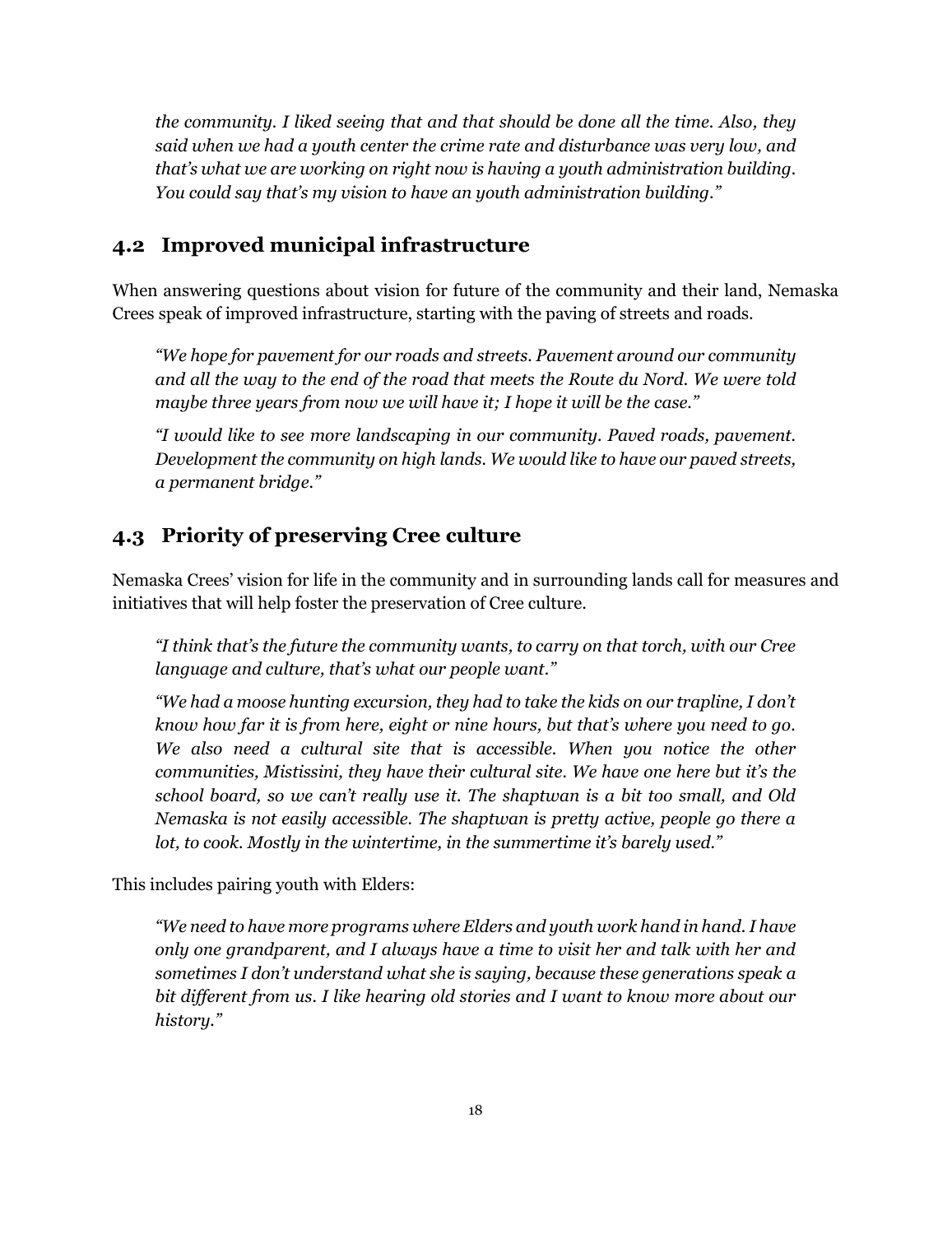*the community. I liked seeing that and that should be done all the time. Also, they said when we had a youth center the crime rate and disturbance was very low, and that's what we are working on right now is having a youth administration building. You could say that's my vision to have an youth administration building."*

#### <span id="page-17-0"></span>**4.2 Improved municipal infrastructure**

When answering questions about vision for future of the community and their land, Nemaska Crees speak of improved infrastructure, starting with the paving of streets and roads.

*"We hope for pavement for our roads and streets. Pavement around our community and all the way to the end of the road that meets the Route du Nord. We were told maybe three years from now we will have it; I hope it will be the case."*

*"I would like to see more landscaping in our community. Paved roads, pavement. Development the community on high lands. We would like to have our paved streets, a permanent bridge."*

## <span id="page-17-1"></span>**4.3 Priority of preserving Cree culture**

Nemaska Crees' vision for life in the community and in surrounding lands call for measures and initiatives that will help foster the preservation of Cree culture.

*"I think that's the future the community wants, to carry on that torch, with our Cree language and culture, that's what our people want."*

*"We had a moose hunting excursion, they had to take the kids on our trapline, I don't know how far it is from here, eight or nine hours, but that's where you need to go. We also need a cultural site that is accessible. When you notice the other communities, Mistissini, they have their cultural site. We have one here but it's the school board, so we can't really use it. The shaptwan is a bit too small, and Old Nemaska is not easily accessible. The shaptwan is pretty active, people go there a lot, to cook. Mostly in the wintertime, in the summertime it's barely used."*

This includes pairing youth with Elders:

*"We need to have more programs where Elders and youth work hand in hand. I have only one grandparent, and I always have a time to visit her and talk with her and sometimes I don't understand what she is saying, because these generations speak a bit different from us. I like hearing old stories and I want to know more about our history."*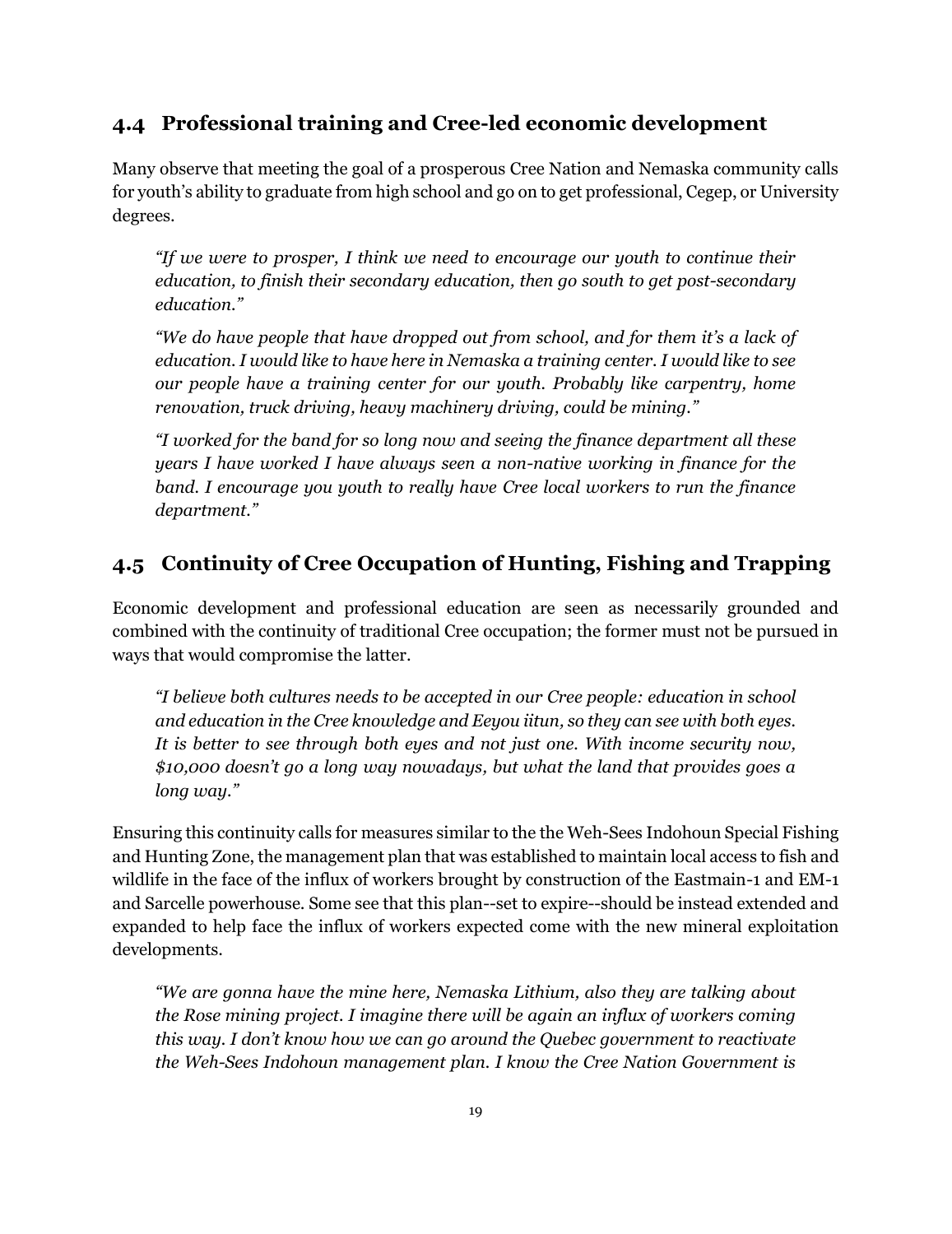## <span id="page-18-0"></span>**4.4 Professional training and Cree-led economic development**

Many observe that meeting the goal of a prosperous Cree Nation and Nemaska community calls for youth's ability to graduate from high school and go on to get professional, Cegep, or University degrees.

*"If we were to prosper, I think we need to encourage our youth to continue their education, to finish their secondary education, then go south to get post-secondary education."*

*"We do have people that have dropped out from school, and for them it's a lack of education. I would like to have here in Nemaska a training center. I would like to see our people have a training center for our youth. Probably like carpentry, home renovation, truck driving, heavy machinery driving, could be mining."*

*"I worked for the band for so long now and seeing the finance department all these years I have worked I have always seen a non-native working in finance for the band. I encourage you youth to really have Cree local workers to run the finance department."*

## <span id="page-18-1"></span>**4.5 Continuity of Cree Occupation of Hunting, Fishing and Trapping**

Economic development and professional education are seen as necessarily grounded and combined with the continuity of traditional Cree occupation; the former must not be pursued in ways that would compromise the latter.

*"I believe both cultures needs to be accepted in our Cree people: education in school and education in the Cree knowledge and Eeyou iitun, so they can see with both eyes. It is better to see through both eyes and not just one. With income security now, \$10,000 doesn't go a long way nowadays, but what the land that provides goes a long way."*

Ensuring this continuity calls for measures similar to the the Weh-Sees Indohoun Special Fishing and Hunting Zone, the management plan that was established to maintain local access to fish and wildlife in the face of the influx of workers brought by construction of the Eastmain-1 and EM-1 and Sarcelle powerhouse. Some see that this plan--set to expire--should be instead extended and expanded to help face the influx of workers expected come with the new mineral exploitation developments.

*"We are gonna have the mine here, Nemaska Lithium, also they are talking about the Rose mining project. I imagine there will be again an influx of workers coming this way. I don't know how we can go around the Quebec government to reactivate the Weh-Sees Indohoun management plan. I know the Cree Nation Government is*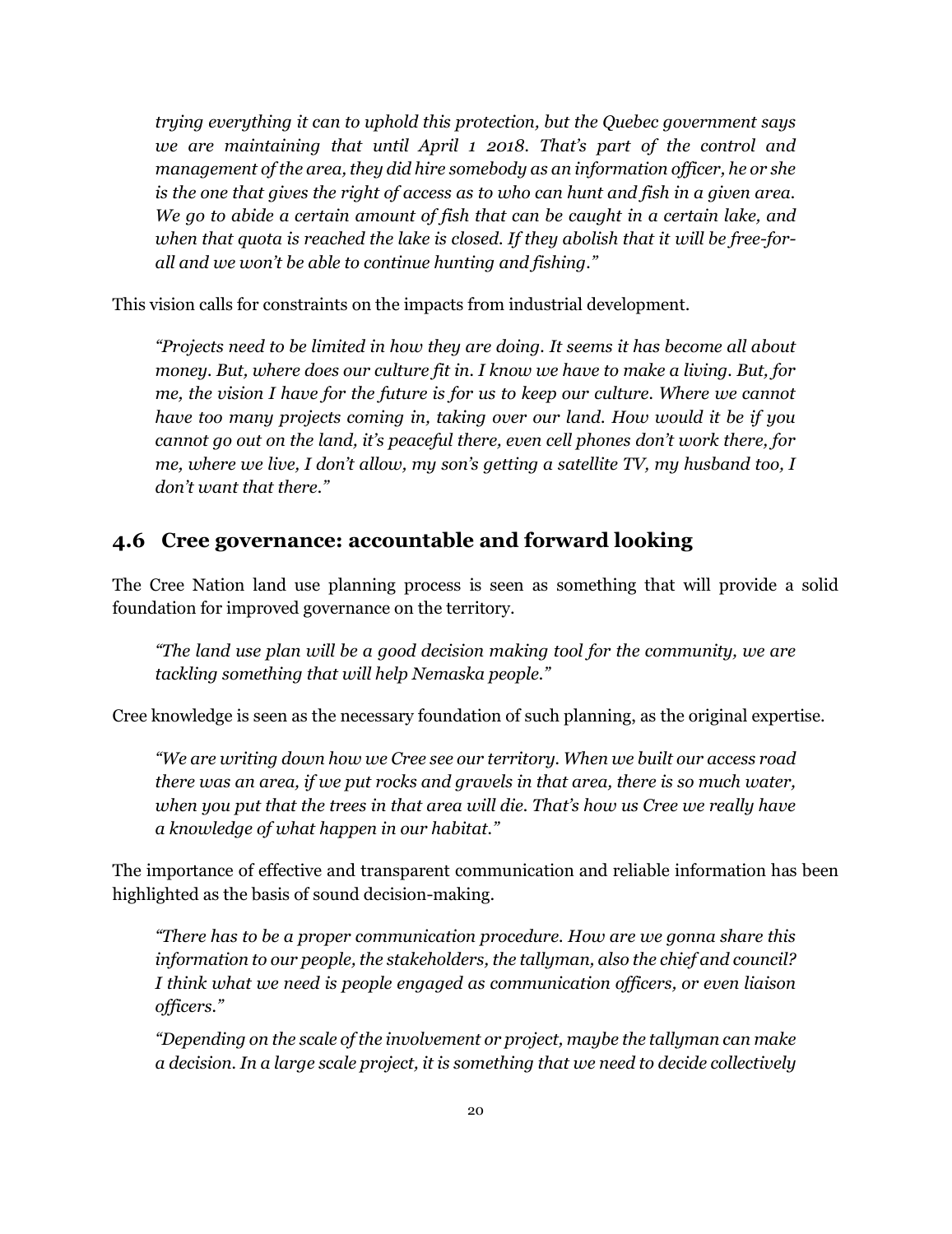*trying everything it can to uphold this protection, but the Quebec government says we are maintaining that until April 1 2018. That's part of the control and management of the area, they did hire somebody as an information officer, he or she is the one that gives the right of access as to who can hunt and fish in a given area. We go to abide a certain amount of fish that can be caught in a certain lake, and when that quota is reached the lake is closed. If they abolish that it will be free-forall and we won't be able to continue hunting and fishing."*

This vision calls for constraints on the impacts from industrial development.

*"Projects need to be limited in how they are doing. It seems it has become all about money. But, where does our culture fit in. I know we have to make a living. But, for me, the vision I have for the future is for us to keep our culture. Where we cannot have too many projects coming in, taking over our land. How would it be if you cannot go out on the land, it's peaceful there, even cell phones don't work there, for me, where we live, I don't allow, my son's getting a satellite TV, my husband too, I don't want that there."*

#### <span id="page-19-0"></span>**4.6 Cree governance: accountable and forward looking**

The Cree Nation land use planning process is seen as something that will provide a solid foundation for improved governance on the territory.

*"The land use plan will be a good decision making tool for the community, we are tackling something that will help Nemaska people."*

Cree knowledge is seen as the necessary foundation of such planning, as the original expertise.

*"We are writing down how we Cree see our territory. When we built our access road there was an area, if we put rocks and gravels in that area, there is so much water, when you put that the trees in that area will die. That's how us Cree we really have a knowledge of what happen in our habitat."*

The importance of effective and transparent communication and reliable information has been highlighted as the basis of sound decision-making.

*"There has to be a proper communication procedure. How are we gonna share this information to our people, the stakeholders, the tallyman, also the chief and council? I think what we need is people engaged as communication officers, or even liaison officers."*

*"Depending on the scale of the involvement or project, maybe the tallyman can make a decision. In a large scale project, it is something that we need to decide collectively*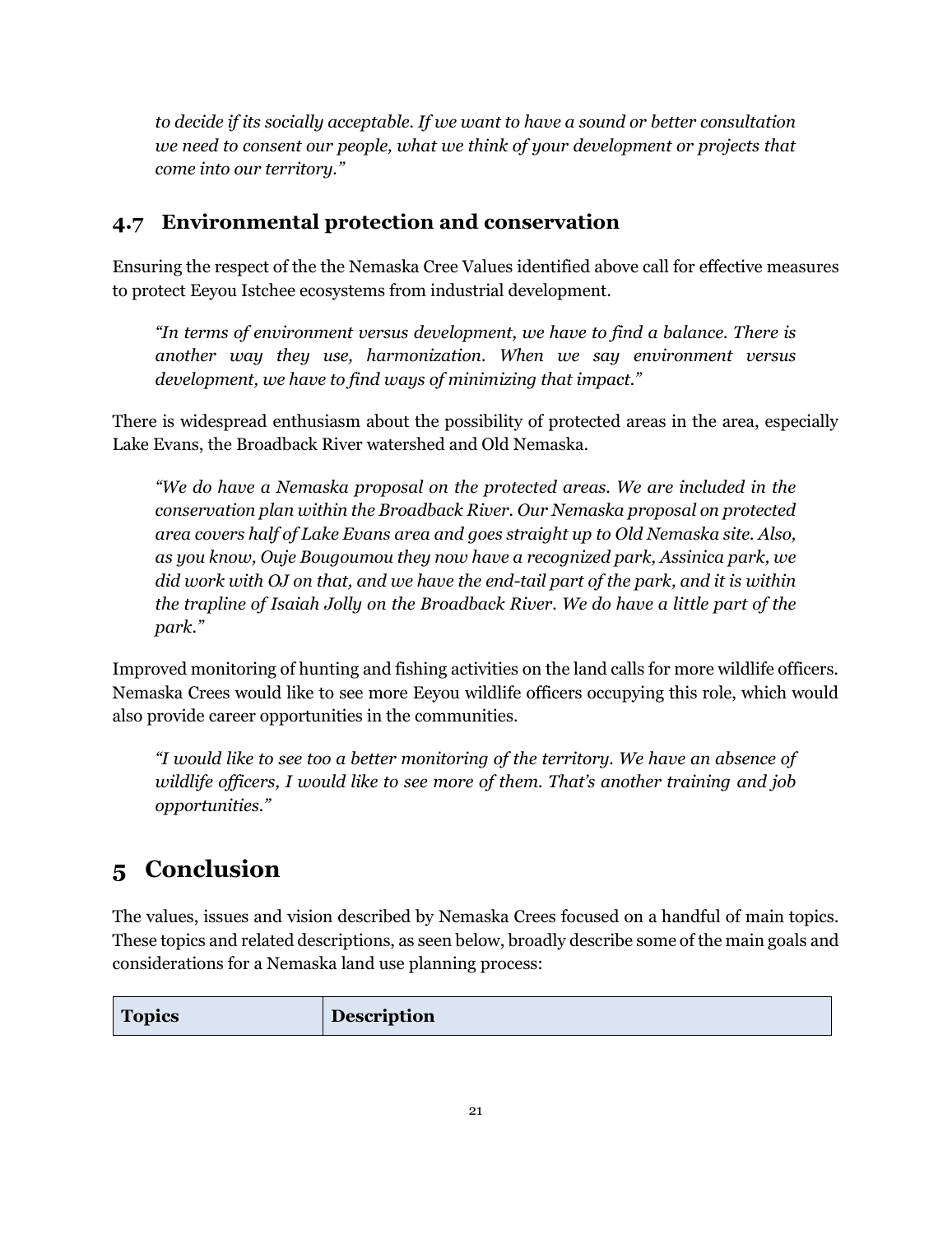*to decide if its socially acceptable. If we want to have a sound or better consultation we need to consent our people, what we think of your development or projects that come into our territory."*

# <span id="page-20-0"></span>**4.7 Environmental protection and conservation**

Ensuring the respect of the the Nemaska Cree Values identified above call for effective measures to protect Eeyou Istchee ecosystems from industrial development.

*"In terms of environment versus development, we have to find a balance. There is another way they use, harmonization. When we say environment versus development, we have to find ways of minimizing that impact."*

There is widespread enthusiasm about the possibility of protected areas in the area, especially Lake Evans, the Broadback River watershed and Old Nemaska.

*"We do have a Nemaska proposal on the protected areas. We are included in the conservation plan within the Broadback River. Our Nemaska proposal on protected area covers half of Lake Evans area and goes straight up to Old Nemaska site. Also, as you know, Ouje Bougoumou they now have a recognized park, Assinica park, we did work with OJ on that, and we have the end-tail part of the park, and it is within the trapline of Isaiah Jolly on the Broadback River. We do have a little part of the park."*

Improved monitoring of hunting and fishing activities on the land calls for more wildlife officers. Nemaska Crees would like to see more Eeyou wildlife officers occupying this role, which would also provide career opportunities in the communities.

*"I would like to see too a better monitoring of the territory. We have an absence of wildlife officers, I would like to see more of them. That's another training and job opportunities."*

# <span id="page-20-1"></span>**5 Conclusion**

The values, issues and vision described by Nemaska Crees focused on a handful of main topics. These topics and related descriptions, as seen below, broadly describe some of the main goals and considerations for a Nemaska land use planning process:

|--|